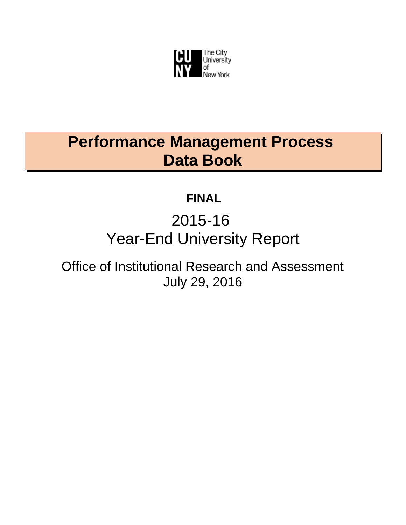

# **Performance Management Process Data Book**

## **FINAL**

# 2015-16 Year-End University Report

Office of Institutional Research and Assessment July 29, 2016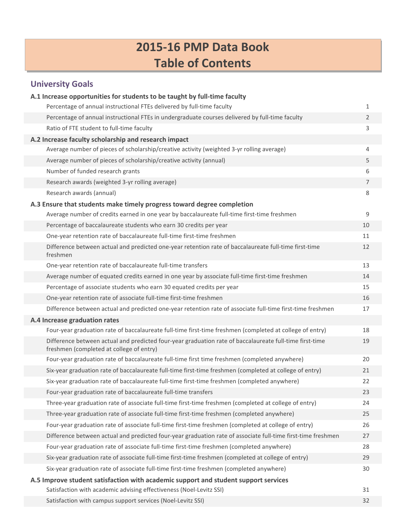## **2015‐16 PMP Data Book Table of Contents**

### **University Goals**

| A.1 Increase opportunities for students to be taught by full-time faculty                                                                                             |                |
|-----------------------------------------------------------------------------------------------------------------------------------------------------------------------|----------------|
| Percentage of annual instructional FTEs delivered by full-time faculty                                                                                                | 1              |
| Percentage of annual instructional FTEs in undergraduate courses delivered by full-time faculty                                                                       | $\overline{2}$ |
| Ratio of FTE student to full-time faculty                                                                                                                             | 3              |
| A.2 Increase faculty scholarship and research impact                                                                                                                  |                |
| Average number of pieces of scholarship/creative activity (weighted 3-yr rolling average)                                                                             | 4              |
| Average number of pieces of scholarship/creative activity (annual)                                                                                                    | 5              |
| Number of funded research grants                                                                                                                                      | 6              |
| Research awards (weighted 3-yr rolling average)                                                                                                                       | $\overline{7}$ |
| Research awards (annual)                                                                                                                                              | 8              |
| A.3 Ensure that students make timely progress toward degree completion<br>Average number of credits earned in one year by baccalaureate full-time first-time freshmen | 9              |
| Percentage of baccalaureate students who earn 30 credits per year                                                                                                     | 10             |
| One-year retention rate of baccalaureate full-time first-time freshmen                                                                                                | 11             |
| Difference between actual and predicted one-year retention rate of baccalaureate full-time first-time<br>freshmen                                                     | 12             |
| One-year retention rate of baccalaureate full-time transfers                                                                                                          | 13             |
| Average number of equated credits earned in one year by associate full-time first-time freshmen                                                                       | 14             |
| Percentage of associate students who earn 30 equated credits per year                                                                                                 | 15             |
| One-year retention rate of associate full-time first-time freshmen                                                                                                    | 16             |
| Difference between actual and predicted one-year retention rate of associate full-time first-time freshmen                                                            | 17             |
| A.4 Increase graduation rates                                                                                                                                         |                |
| Four-year graduation rate of baccalaureate full-time first-time freshmen (completed at college of entry)                                                              | 18             |
| Difference between actual and predicted four-year graduation rate of baccalaureate full-time first-time<br>freshmen (completed at college of entry)                   | 19             |
| Four-year graduation rate of baccalaureate full-time first time freshmen (completed anywhere)                                                                         | 20             |
| Six-year graduation rate of baccalaureate full-time first-time freshmen (completed at college of entry)                                                               | 21             |
| Six-year graduation rate of baccalaureate full-time first-time freshmen (completed anywhere)                                                                          | 22             |
| Four-year graduation rate of baccalaureate full-time transfers                                                                                                        | 23             |
| Three-year graduation rate of associate full-time first-time freshmen (completed at college of entry)                                                                 | 24             |
| Three-year graduation rate of associate full-time first-time freshmen (completed anywhere)                                                                            | 25             |
| Four-year graduation rate of associate full-time first-time freshmen (completed at college of entry)                                                                  | 26             |
| Difference between actual and predicted four-year graduation rate of associate full-time first-time freshmen                                                          | 27             |
| Four-year graduation rate of associate full-time first-time freshmen (completed anywhere)                                                                             | 28             |
| Six-year graduation rate of associate full-time first-time freshmen (completed at college of entry)                                                                   | 29             |
| Six-year graduation rate of associate full-time first-time freshmen (completed anywhere)                                                                              | 30             |
| A.5 Improve student satisfaction with academic support and student support services                                                                                   |                |
| Satisfaction with academic advising effectiveness (Noel-Levitz SSI)                                                                                                   | 31             |
| Satisfaction with campus support services (Noel-Levitz SSI)                                                                                                           | 32             |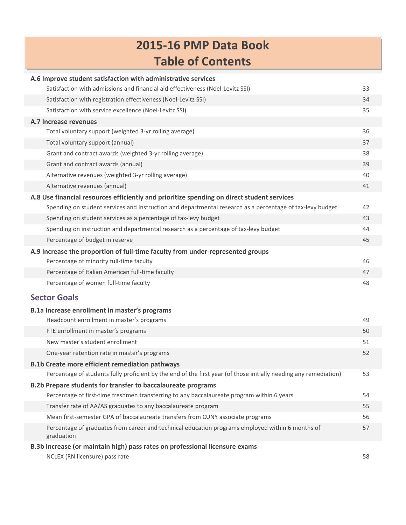## **2015‐16 PMP Data Book Table of Contents**

| A.6 Improve student satisfaction with administrative services                                                     |    |
|-------------------------------------------------------------------------------------------------------------------|----|
| Satisfaction with admissions and financial aid effectiveness (Noel-Levitz SSI)                                    | 33 |
| Satisfaction with registration effectiveness (Noel-Levitz SSI)                                                    | 34 |
| Satisfaction with service excellence (Noel-Levitz SSI)                                                            | 35 |
| A.7 Increase revenues                                                                                             |    |
| Total voluntary support (weighted 3-yr rolling average)                                                           | 36 |
| Total voluntary support (annual)                                                                                  | 37 |
| Grant and contract awards (weighted 3-yr rolling average)                                                         | 38 |
| Grant and contract awards (annual)                                                                                | 39 |
| Alternative revenues (weighted 3-yr rolling average)                                                              | 40 |
| Alternative revenues (annual)                                                                                     | 41 |
| A.8 Use financial resources efficiently and prioritize spending on direct student services                        |    |
| Spending on student services and instruction and departmental research as a percentage of tax-levy budget         | 42 |
| Spending on student services as a percentage of tax-levy budget                                                   | 43 |
| Spending on instruction and departmental research as a percentage of tax-levy budget                              | 44 |
| Percentage of budget in reserve                                                                                   | 45 |
| A.9 Increase the proportion of full-time faculty from under-represented groups                                    |    |
| Percentage of minority full-time faculty                                                                          | 46 |
| Percentage of Italian American full-time faculty                                                                  | 47 |
| Percentage of women full-time faculty                                                                             | 48 |
| <b>Sector Goals</b>                                                                                               |    |
| B.1a Increase enrollment in master's programs                                                                     |    |
| Headcount enrollment in master's programs                                                                         | 49 |
| FTE enrollment in master's programs                                                                               | 50 |
| New master's student enrollment                                                                                   | 51 |
| One-year retention rate in master's programs                                                                      | 52 |
| <b>B.1b Create more efficient remediation pathways</b>                                                            |    |
| Percentage of students fully proficient by the end of the first year (of those initially needing any remediation) | 53 |
| B.2b Prepare students for transfer to baccalaureate programs                                                      |    |
| Percentage of first-time freshmen transferring to any baccalaureate program within 6 years                        | 54 |
| Transfer rate of AA/AS graduates to any baccalaureate program                                                     | 55 |
| Mean first-semester GPA of baccalaureate transfers from CUNY associate programs                                   | 56 |
| Percentage of graduates from career and technical education programs employed within 6 months of<br>graduation    | 57 |
| B.3b Increase (or maintain high) pass rates on professional licensure exams                                       |    |
| NCLEX (RN licensure) pass rate                                                                                    | 58 |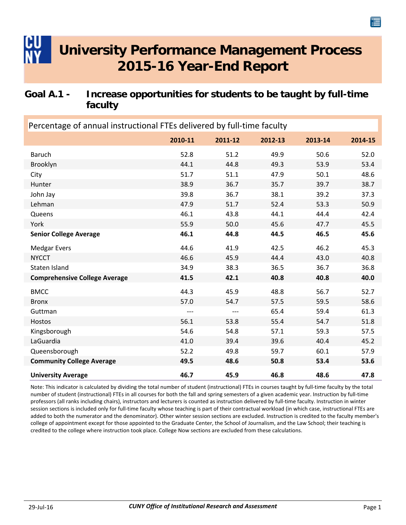### <span id="page-3-0"></span>**Goal A.1 - Increase opportunities for students to be taught by full-time faculty**

| Percentage of annual instructional FTEs delivered by full-time faculty |         |         |         |         |         |
|------------------------------------------------------------------------|---------|---------|---------|---------|---------|
|                                                                        | 2010-11 | 2011-12 | 2012-13 | 2013-14 | 2014-15 |
| <b>Baruch</b>                                                          | 52.8    | 51.2    | 49.9    | 50.6    | 52.0    |
| Brooklyn                                                               | 44.1    | 44.8    | 49.3    | 53.9    | 53.4    |
| City                                                                   | 51.7    | 51.1    | 47.9    | 50.1    | 48.6    |
| Hunter                                                                 | 38.9    | 36.7    | 35.7    | 39.7    | 38.7    |
| John Jay                                                               | 39.8    | 36.7    | 38.1    | 39.2    | 37.3    |
| Lehman                                                                 | 47.9    | 51.7    | 52.4    | 53.3    | 50.9    |
| Queens                                                                 | 46.1    | 43.8    | 44.1    | 44.4    | 42.4    |
| York                                                                   | 55.9    | 50.0    | 45.6    | 47.7    | 45.5    |
| <b>Senior College Average</b>                                          | 46.1    | 44.8    | 44.5    | 46.5    | 45.6    |
| <b>Medgar Evers</b>                                                    | 44.6    | 41.9    | 42.5    | 46.2    | 45.3    |
| <b>NYCCT</b>                                                           | 46.6    | 45.9    | 44.4    | 43.0    | 40.8    |
| Staten Island                                                          | 34.9    | 38.3    | 36.5    | 36.7    | 36.8    |
| <b>Comprehensive College Average</b>                                   | 41.5    | 42.1    | 40.8    | 40.8    | 40.0    |
| <b>BMCC</b>                                                            | 44.3    | 45.9    | 48.8    | 56.7    | 52.7    |
| <b>Bronx</b>                                                           | 57.0    | 54.7    | 57.5    | 59.5    | 58.6    |
| Guttman                                                                | $---$   | $---$   | 65.4    | 59.4    | 61.3    |
| Hostos                                                                 | 56.1    | 53.8    | 55.4    | 54.7    | 51.8    |
| Kingsborough                                                           | 54.6    | 54.8    | 57.1    | 59.3    | 57.5    |
| LaGuardia                                                              | 41.0    | 39.4    | 39.6    | 40.4    | 45.2    |
| Queensborough                                                          | 52.2    | 49.8    | 59.7    | 60.1    | 57.9    |
| <b>Community College Average</b>                                       | 49.5    | 48.6    | 50.8    | 53.4    | 53.6    |
| <b>University Average</b>                                              | 46.7    | 45.9    | 46.8    | 48.6    | 47.8    |

Note: This indicator is calculated by dividing the total number of student (instructional) FTEs in courses taught by full‐time faculty by the total number of student (instructional) FTEs in all courses for both the fall and spring semesters of a given academic year. Instruction by full‐time professors (all ranks including chairs), instructors and lecturers is counted as instruction delivered by full‐time faculty. Instruction in winter session sections is included only for full-time faculty whose teaching is part of their contractual workload (in which case, instructional FTEs are added to both the numerator and the denominator). Other winter session sections are excluded. Instruction is credited to the faculty member's college of appointment except for those appointed to the Graduate Center, the School of Journalism, and the Law School; their teaching is credited to the college where instruction took place. College Now sections are excluded from these calculations.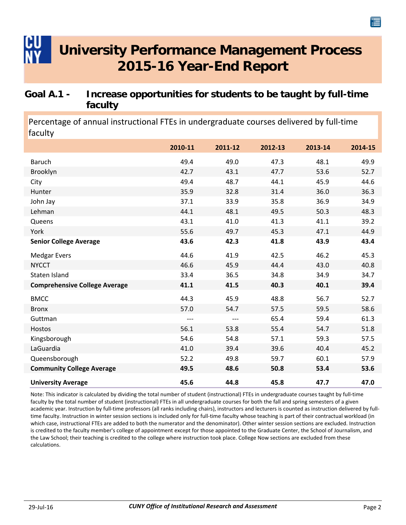### <span id="page-4-0"></span>**Goal A.1 - Increase opportunities for students to be taught by full-time faculty**

Percentage of annual instructional FTEs in undergraduate courses delivered by full‐time faculty

|                                      | 2010-11 | 2011-12 | 2012-13 | 2013-14 | 2014-15 |
|--------------------------------------|---------|---------|---------|---------|---------|
| <b>Baruch</b>                        | 49.4    | 49.0    | 47.3    | 48.1    | 49.9    |
| Brooklyn                             | 42.7    | 43.1    | 47.7    | 53.6    | 52.7    |
| City                                 | 49.4    | 48.7    | 44.1    | 45.9    | 44.6    |
| Hunter                               | 35.9    | 32.8    | 31.4    | 36.0    | 36.3    |
| John Jay                             | 37.1    | 33.9    | 35.8    | 36.9    | 34.9    |
| Lehman                               | 44.1    | 48.1    | 49.5    | 50.3    | 48.3    |
| Queens                               | 43.1    | 41.0    | 41.3    | 41.1    | 39.2    |
| York                                 | 55.6    | 49.7    | 45.3    | 47.1    | 44.9    |
| <b>Senior College Average</b>        | 43.6    | 42.3    | 41.8    | 43.9    | 43.4    |
| <b>Medgar Evers</b>                  | 44.6    | 41.9    | 42.5    | 46.2    | 45.3    |
| <b>NYCCT</b>                         | 46.6    | 45.9    | 44.4    | 43.0    | 40.8    |
| Staten Island                        | 33.4    | 36.5    | 34.8    | 34.9    | 34.7    |
| <b>Comprehensive College Average</b> | 41.1    | 41.5    | 40.3    | 40.1    | 39.4    |
| <b>BMCC</b>                          | 44.3    | 45.9    | 48.8    | 56.7    | 52.7    |
| <b>Bronx</b>                         | 57.0    | 54.7    | 57.5    | 59.5    | 58.6    |
| Guttman                              | $---$   | $---$   | 65.4    | 59.4    | 61.3    |
| Hostos                               | 56.1    | 53.8    | 55.4    | 54.7    | 51.8    |
| Kingsborough                         | 54.6    | 54.8    | 57.1    | 59.3    | 57.5    |
| LaGuardia                            | 41.0    | 39.4    | 39.6    | 40.4    | 45.2    |
| Queensborough                        | 52.2    | 49.8    | 59.7    | 60.1    | 57.9    |
| <b>Community College Average</b>     | 49.5    | 48.6    | 50.8    | 53.4    | 53.6    |
| <b>University Average</b>            | 45.6    | 44.8    | 45.8    | 47.7    | 47.0    |

Note: This indicator is calculated by dividing the total number of student (instructional) FTEs in undergraduate courses taught by full‐time faculty by the total number of student (instructional) FTEs in all undergraduate courses for both the fall and spring semesters of a given academic year. Instruction by full-time professors (all ranks including chairs), instructors and lecturers is counted as instruction delivered by fulltime faculty. Instruction in winter session sections is included only for full‐time faculty whose teaching is part of their contractual workload (in which case, instructional FTEs are added to both the numerator and the denominator). Other winter session sections are excluded. Instruction is credited to the faculty member's college of appointment except for those appointed to the Graduate Center, the School of Journalism, and the Law School; their teaching is credited to the college where instruction took place. College Now sections are excluded from these calculations.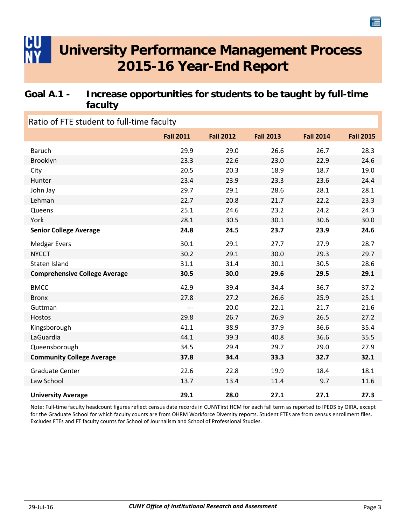### <span id="page-5-0"></span>**Goal A.1 - Increase opportunities for students to be taught by full-time faculty**

| Ratio of FTE student to full-time faculty |                  |                  |                  |                  |                  |  |
|-------------------------------------------|------------------|------------------|------------------|------------------|------------------|--|
|                                           | <b>Fall 2011</b> | <b>Fall 2012</b> | <b>Fall 2013</b> | <b>Fall 2014</b> | <b>Fall 2015</b> |  |
| <b>Baruch</b>                             | 29.9             | 29.0             | 26.6             | 26.7             | 28.3             |  |
| Brooklyn                                  | 23.3             | 22.6             | 23.0             | 22.9             | 24.6             |  |
| City                                      | 20.5             | 20.3             | 18.9             | 18.7             | 19.0             |  |
| Hunter                                    | 23.4             | 23.9             | 23.3             | 23.6             | 24.4             |  |
| John Jay                                  | 29.7             | 29.1             | 28.6             | 28.1             | 28.1             |  |
| Lehman                                    | 22.7             | 20.8             | 21.7             | 22.2             | 23.3             |  |
| Queens                                    | 25.1             | 24.6             | 23.2             | 24.2             | 24.3             |  |
| York                                      | 28.1             | 30.5             | 30.1             | 30.6             | 30.0             |  |
| <b>Senior College Average</b>             | 24.8             | 24.5             | 23.7             | 23.9             | 24.6             |  |
| <b>Medgar Evers</b>                       | 30.1             | 29.1             | 27.7             | 27.9             | 28.7             |  |
| <b>NYCCT</b>                              | 30.2             | 29.1             | 30.0             | 29.3             | 29.7             |  |
| Staten Island                             | 31.1             | 31.4             | 30.1             | 30.5             | 28.6             |  |
| <b>Comprehensive College Average</b>      | 30.5             | 30.0             | 29.6             | 29.5             | 29.1             |  |
| <b>BMCC</b>                               | 42.9             | 39.4             | 34.4             | 36.7             | 37.2             |  |
| <b>Bronx</b>                              | 27.8             | 27.2             | 26.6             | 25.9             | 25.1             |  |
| Guttman                                   | $---$            | 20.0             | 22.1             | 21.7             | 21.6             |  |
| Hostos                                    | 29.8             | 26.7             | 26.9             | 26.5             | 27.2             |  |
| Kingsborough                              | 41.1             | 38.9             | 37.9             | 36.6             | 35.4             |  |
| LaGuardia                                 | 44.1             | 39.3             | 40.8             | 36.6             | 35.5             |  |
| Queensborough                             | 34.5             | 29.4             | 29.7             | 29.0             | 27.9             |  |
| <b>Community College Average</b>          | 37.8             | 34.4             | 33.3             | 32.7             | 32.1             |  |
| <b>Graduate Center</b>                    | 22.6             | 22.8             | 19.9             | 18.4             | 18.1             |  |
| Law School                                | 13.7             | 13.4             | 11.4             | 9.7              | 11.6             |  |
| <b>University Average</b>                 | 29.1             | 28.0             | 27.1             | 27.1             | 27.3             |  |

Note: Full‐time faculty headcount figures reflect census date records in CUNYFirst HCM for each fall term as reported to IPEDS by OIRA, except for the Graduate School for which faculty counts are from OHRM Workforce Diversity reports. Student FTEs are from census enrollment files. Excludes FTEs and FT faculty counts for School of Journalism and School of Professional Studies.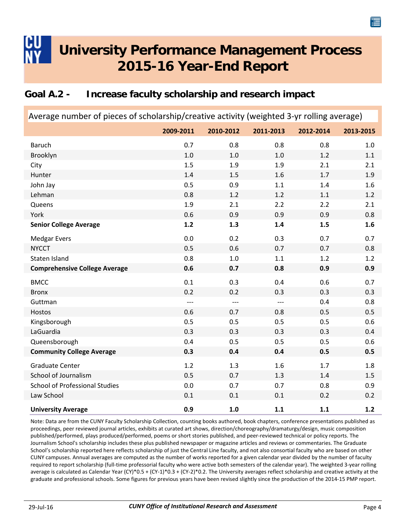### <span id="page-6-0"></span>**Goal A.2 - Increase faculty scholarship and research impact**

| Average number of pieces of scholarship/creative activity (weighted 3-yr rolling average) |           |           |           |           |           |  |
|-------------------------------------------------------------------------------------------|-----------|-----------|-----------|-----------|-----------|--|
|                                                                                           | 2009-2011 | 2010-2012 | 2011-2013 | 2012-2014 | 2013-2015 |  |
| <b>Baruch</b>                                                                             | 0.7       | 0.8       | 0.8       | 0.8       | 1.0       |  |
| Brooklyn                                                                                  | 1.0       | 1.0       | $1.0$     | 1.2       | 1.1       |  |
| City                                                                                      | 1.5       | 1.9       | 1.9       | 2.1       | 2.1       |  |
| Hunter                                                                                    | 1.4       | 1.5       | 1.6       | 1.7       | 1.9       |  |
| John Jay                                                                                  | 0.5       | 0.9       | 1.1       | 1.4       | 1.6       |  |
| Lehman                                                                                    | 0.8       | 1.2       | 1.2       | 1.1       | 1.2       |  |
| Queens                                                                                    | 1.9       | 2.1       | 2.2       | 2.2       | 2.1       |  |
| York                                                                                      | 0.6       | 0.9       | 0.9       | 0.9       | 0.8       |  |
| <b>Senior College Average</b>                                                             | $1.2$     | 1.3       | 1.4       | 1.5       | 1.6       |  |
| <b>Medgar Evers</b>                                                                       | 0.0       | 0.2       | 0.3       | 0.7       | 0.7       |  |
| <b>NYCCT</b>                                                                              | 0.5       | 0.6       | 0.7       | 0.7       | 0.8       |  |
| Staten Island                                                                             | 0.8       | 1.0       | 1.1       | 1.2       | 1.2       |  |
| <b>Comprehensive College Average</b>                                                      | 0.6       | 0.7       | 0.8       | 0.9       | 0.9       |  |
| <b>BMCC</b>                                                                               | 0.1       | 0.3       | 0.4       | 0.6       | 0.7       |  |
| <b>Bronx</b>                                                                              | 0.2       | 0.2       | 0.3       | 0.3       | 0.3       |  |
| Guttman                                                                                   | $---$     | $---$     | $---$     | 0.4       | 0.8       |  |
| Hostos                                                                                    | 0.6       | 0.7       | 0.8       | 0.5       | 0.5       |  |
| Kingsborough                                                                              | 0.5       | 0.5       | 0.5       | 0.5       | 0.6       |  |
| LaGuardia                                                                                 | 0.3       | 0.3       | 0.3       | 0.3       | 0.4       |  |
| Queensborough                                                                             | 0.4       | 0.5       | 0.5       | 0.5       | 0.6       |  |
| <b>Community College Average</b>                                                          | 0.3       | 0.4       | 0.4       | 0.5       | 0.5       |  |
| <b>Graduate Center</b>                                                                    | 1.2       | 1.3       | 1.6       | 1.7       | 1.8       |  |
| School of Journalism                                                                      | 0.5       | 0.7       | 1.3       | 1.4       | 1.5       |  |
| <b>School of Professional Studies</b>                                                     | 0.0       | 0.7       | 0.7       | 0.8       | 0.9       |  |
| Law School                                                                                | 0.1       | 0.1       | 0.1       | 0.2       | 0.2       |  |
| <b>University Average</b>                                                                 | 0.9       | 1.0       | 1.1       | 1.1       | 1.2       |  |

Note: Data are from the CUNY Faculty Scholarship Collection, counting books authored, book chapters, conference presentations published as proceedings, peer reviewed journal articles, exhibits at curated art shows, direction/choreography/dramaturgy/design, music composition published/performed, plays produced/performed, poems or short stories published, and peer-reviewed technical or policy reports. The Journalism School's scholarship includes these plus published newspaper or magazine articles and reviews or commentaries. The Graduate School's scholarship reported here reflects scholarship of just the Central Line faculty, and not also consortial faculty who are based on other CUNY campuses. Annual averages are computed as the number of works reported for a given calendar year divided by the number of faculty required to report scholarship (full‐time professorial faculty who were active both semesters of the calendar year). The weighted 3‐year rolling average is calculated as Calendar Year (CY)\*0.5 + (CY‐1)\*0.3 + (CY‐2)\*0.2. The University averages reflect scholarship and creative activity at the graduate and professional schools. Some figures for previous years have been revised slightly since the production of the 2014‐15 PMP report.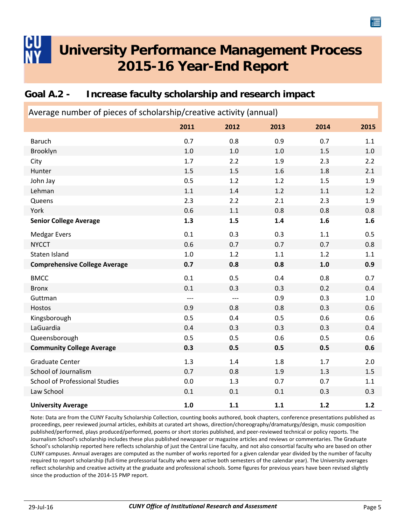### <span id="page-7-0"></span>**Goal A.2 - Increase faculty scholarship and research impact**

| Average number of pieces of scholarship/creative activity (annual) |       |       |      |       |      |
|--------------------------------------------------------------------|-------|-------|------|-------|------|
|                                                                    | 2011  | 2012  | 2013 | 2014  | 2015 |
| <b>Baruch</b>                                                      | 0.7   | 0.8   | 0.9  | 0.7   | 1.1  |
| Brooklyn                                                           | 1.0   | 1.0   | 1.0  | 1.5   | 1.0  |
| City                                                               | 1.7   | 2.2   | 1.9  | 2.3   | 2.2  |
| Hunter                                                             | 1.5   | 1.5   | 1.6  | 1.8   | 2.1  |
| John Jay                                                           | 0.5   | 1.2   | 1.2  | 1.5   | 1.9  |
| Lehman                                                             | 1.1   | 1.4   | 1.2  | 1.1   | 1.2  |
| Queens                                                             | 2.3   | 2.2   | 2.1  | 2.3   | 1.9  |
| York                                                               | 0.6   | 1.1   | 0.8  | 0.8   | 0.8  |
| <b>Senior College Average</b>                                      | 1.3   | 1.5   | 1.4  | 1.6   | 1.6  |
| <b>Medgar Evers</b>                                                | 0.1   | 0.3   | 0.3  | 1.1   | 0.5  |
| <b>NYCCT</b>                                                       | 0.6   | 0.7   | 0.7  | 0.7   | 0.8  |
| Staten Island                                                      | 1.0   | 1.2   | 1.1  | 1.2   | 1.1  |
| <b>Comprehensive College Average</b>                               | 0.7   | 0.8   | 0.8  | $1.0$ | 0.9  |
| <b>BMCC</b>                                                        | 0.1   | 0.5   | 0.4  | 0.8   | 0.7  |
| <b>Bronx</b>                                                       | 0.1   | 0.3   | 0.3  | 0.2   | 0.4  |
| Guttman                                                            | $---$ | $---$ | 0.9  | 0.3   | 1.0  |
| Hostos                                                             | 0.9   | 0.8   | 0.8  | 0.3   | 0.6  |
| Kingsborough                                                       | 0.5   | 0.4   | 0.5  | 0.6   | 0.6  |
| LaGuardia                                                          | 0.4   | 0.3   | 0.3  | 0.3   | 0.4  |
| Queensborough                                                      | 0.5   | 0.5   | 0.6  | 0.5   | 0.6  |
| <b>Community College Average</b>                                   | 0.3   | 0.5   | 0.5  | 0.5   | 0.6  |
| <b>Graduate Center</b>                                             | 1.3   | 1.4   | 1.8  | 1.7   | 2.0  |
| School of Journalism                                               | 0.7   | 0.8   | 1.9  | 1.3   | 1.5  |
| <b>School of Professional Studies</b>                              | 0.0   | 1.3   | 0.7  | 0.7   | 1.1  |
| Law School                                                         | 0.1   | 0.1   | 0.1  | 0.3   | 0.3  |
| <b>University Average</b>                                          | 1.0   | 1.1   | 1.1  | 1.2   | 1.2  |

Note: Data are from the CUNY Faculty Scholarship Collection, counting books authored, book chapters, conference presentations published as proceedings, peer reviewed journal articles, exhibits at curated art shows, direction/choreography/dramaturgy/design, music composition published/performed, plays produced/performed, poems or short stories published, and peer-reviewed technical or policy reports. The Journalism School's scholarship includes these plus published newspaper or magazine articles and reviews or commentaries. The Graduate School's scholarship reported here reflects scholarship of just the Central Line faculty, and not also consortial faculty who are based on other CUNY campuses. Annual averages are computed as the number of works reported for a given calendar year divided by the number of faculty required to report scholarship (full‐time professorial faculty who were active both semesters of the calendar year). The University averages reflect scholarship and creative activity at the graduate and professional schools. Some figures for previous years have been revised slightly since the production of the 2014‐15 PMP report.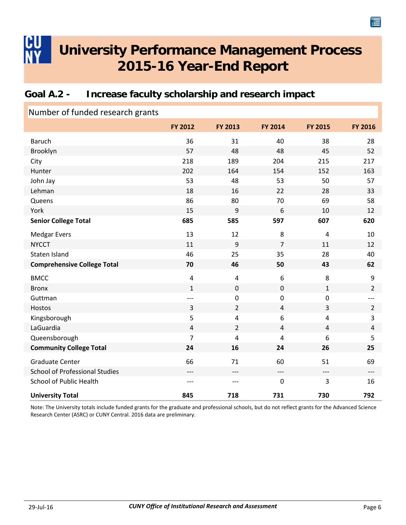### <span id="page-8-0"></span>**Goal A.2 - Increase faculty scholarship and research impact**

| Number of funded research grants      |                |                |                  |                |                |
|---------------------------------------|----------------|----------------|------------------|----------------|----------------|
|                                       | <b>FY 2012</b> | FY 2013        | FY 2014          | FY 2015        | <b>FY 2016</b> |
| <b>Baruch</b>                         | 36             | 31             | 40               | 38             | 28             |
| Brooklyn                              | 57             | 48             | 48               | 45             | 52             |
| City                                  | 218            | 189            | 204              | 215            | 217            |
| Hunter                                | 202            | 164            | 154              | 152            | 163            |
| John Jay                              | 53             | 48             | 53               | 50             | 57             |
| Lehman                                | 18             | 16             | 22               | 28             | 33             |
| Queens                                | 86             | 80             | 70               | 69             | 58             |
| York                                  | 15             | 9              | 6                | 10             | 12             |
| <b>Senior College Total</b>           | 685            | 585            | 597              | 607            | 620            |
| <b>Medgar Evers</b>                   | 13             | 12             | 8                | $\overline{4}$ | 10             |
| <b>NYCCT</b>                          | 11             | 9              | $\overline{7}$   | 11             | 12             |
| Staten Island                         | 46             | 25             | 35               | 28             | 40             |
| <b>Comprehensive College Total</b>    | 70             | 46             | 50               | 43             | 62             |
| <b>BMCC</b>                           | $\overline{4}$ | $\pmb{4}$      | $\boldsymbol{6}$ | 8              | 9              |
| <b>Bronx</b>                          | $\mathbf 1$    | $\pmb{0}$      | $\pmb{0}$        | $\mathbf 1$    | $\overline{2}$ |
| Guttman                               | $---$          | $\pmb{0}$      | $\mathbf 0$      | $\mathbf 0$    |                |
| Hostos                                | 3              | $\overline{2}$ | $\overline{4}$   | 3              | $\overline{2}$ |
| Kingsborough                          | 5              | $\pmb{4}$      | $\boldsymbol{6}$ | $\overline{4}$ | 3              |
| LaGuardia                             | $\overline{4}$ | $\overline{2}$ | $\overline{4}$   | $\overline{4}$ | 4              |
| Queensborough                         | 7              | 4              | $\overline{4}$   | 6              | 5              |
| <b>Community College Total</b>        | 24             | 16             | 24               | 26             | 25             |
| <b>Graduate Center</b>                | 66             | 71             | 60               | 51             | 69             |
| <b>School of Professional Studies</b> | ---            | $---$          | $---$            | $---$          | $---$          |
| <b>School of Public Health</b>        | $---$          | ---            | $\pmb{0}$        | 3              | 16             |
| <b>University Total</b>               | 845            | 718            | 731              | 730            | 792            |

Note: The University totals include funded grants for the graduate and professional schools, but do not reflect grants for the Advanced Science Research Center (ASRC) or CUNY Central. 2016 data are preliminary.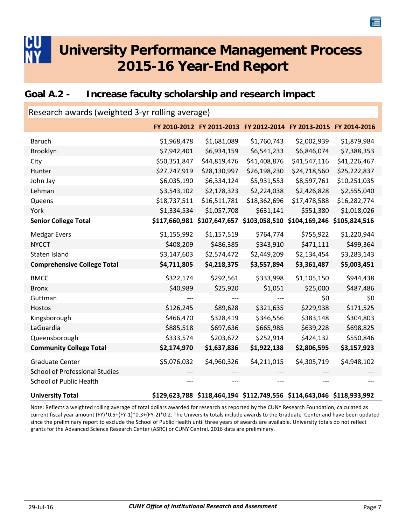### <span id="page-9-0"></span>**Goal A.2 - Increase faculty scholarship and research impact**

| Research awards (weighted 3-yr rolling average) |              |                                                                       |                             |              |               |  |  |
|-------------------------------------------------|--------------|-----------------------------------------------------------------------|-----------------------------|--------------|---------------|--|--|
|                                                 |              | FY 2010-2012 FY 2011-2013 FY 2012-2014 FY 2013-2015 FY 2014-2016      |                             |              |               |  |  |
| <b>Baruch</b>                                   | \$1,968,478  | \$1,681,089                                                           | \$1,760,743                 | \$2,002,939  | \$1,879,984   |  |  |
| Brooklyn                                        | \$7,942,401  | \$6,934,159                                                           | \$6,541,233                 | \$6,846,074  | \$7,388,353   |  |  |
| City                                            | \$50,351,847 | \$44,819,476                                                          | \$41,408,876                | \$41,547,116 | \$41,226,467  |  |  |
| Hunter                                          | \$27,747,919 | \$28,130,997                                                          | \$26,198,230                | \$24,718,560 | \$25,222,837  |  |  |
| John Jay                                        | \$6,035,190  | \$6,334,124                                                           | \$5,931,553                 | \$8,597,761  | \$10,251,035  |  |  |
| Lehman                                          | \$3,543,102  | \$2,178,323                                                           | \$2,224,038                 | \$2,426,828  | \$2,555,040   |  |  |
| Queens                                          | \$18,737,511 | \$16,511,781                                                          | \$18,362,696                | \$17,478,588 | \$16,282,774  |  |  |
| York                                            | \$1,334,534  | \$1,057,708                                                           | \$631,141                   | \$551,380    | \$1,018,026   |  |  |
| <b>Senior College Total</b>                     |              | \$117,660,981 \$107,647,657                                           | \$103,058,510 \$104,169,246 |              | \$105,824,516 |  |  |
| <b>Medgar Evers</b>                             | \$1,155,992  | \$1,157,519                                                           | \$764,774                   | \$755,922    | \$1,220,944   |  |  |
| <b>NYCCT</b>                                    | \$408,209    | \$486,385                                                             | \$343,910                   | \$471,111    | \$499,364     |  |  |
| Staten Island                                   | \$3,147,603  | \$2,574,472                                                           | \$2,449,209                 | \$2,134,454  | \$3,283,143   |  |  |
| <b>Comprehensive College Total</b>              | \$4,711,805  | \$4,218,375                                                           | \$3,557,894                 | \$3,361,487  | \$5,003,451   |  |  |
| <b>BMCC</b>                                     | \$322,174    | \$292,561                                                             | \$333,998                   | \$1,105,150  | \$944,438     |  |  |
| <b>Bronx</b>                                    | \$40,989     | \$25,920                                                              | \$1,051                     | \$25,000     | \$487,486     |  |  |
| Guttman                                         |              |                                                                       |                             | \$0          | \$0           |  |  |
| Hostos                                          | \$126,245    | \$89,628                                                              | \$321,635                   | \$229,938    | \$171,525     |  |  |
| Kingsborough                                    | \$466,470    | \$328,419                                                             | \$346,556                   | \$383,148    | \$304,803     |  |  |
| LaGuardia                                       | \$885,518    | \$697,636                                                             | \$665,985                   | \$639,228    | \$698,825     |  |  |
| Queensborough                                   | \$333,574    | \$203,672                                                             | \$252,914                   | \$424,132    | \$550,846     |  |  |
| <b>Community College Total</b>                  | \$2,174,970  | \$1,637,836                                                           | \$1,922,138                 | \$2,806,595  | \$3,157,923   |  |  |
| <b>Graduate Center</b>                          | \$5,076,032  | \$4,960,326                                                           | \$4,211,015                 | \$4,305,719  | \$4,948,102   |  |  |
| <b>School of Professional Studies</b>           |              |                                                                       |                             |              |               |  |  |
| <b>School of Public Health</b>                  |              |                                                                       |                             |              |               |  |  |
| <b>University Total</b>                         |              | \$129,623,788 \$118,464,194 \$112,749,556 \$114,643,046 \$118,933,992 |                             |              |               |  |  |

Note: Reflects a weighted rolling average of total dollars awarded for research as reported by the CUNY Research Foundation, calculated as current fiscal year amount (FY)\*0.5+(FY‐1)\*0.3+(FY‐2)\*0.2. The University totals include awards to the Graduate Center and have been updated since the preliminary report to exclude the School of Public Health until three years of awards are available. University totals do not reflect grants for the Advanced Science Research Center (ASRC) or CUNY Central. 2016 data are preliminary.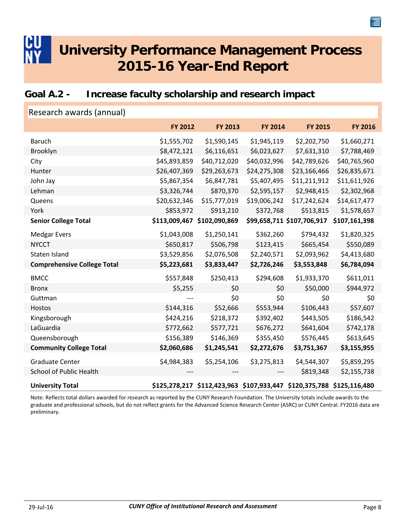### <span id="page-10-0"></span>**Goal A.2 - Increase faculty scholarship and research impact**

| Research awards (annual)           |               |                                                                       |                |                            |                |
|------------------------------------|---------------|-----------------------------------------------------------------------|----------------|----------------------------|----------------|
|                                    | FY 2012       | FY 2013                                                               | <b>FY 2014</b> | <b>FY 2015</b>             | <b>FY 2016</b> |
| <b>Baruch</b>                      | \$1,555,702   | \$1,590,145                                                           | \$1,945,119    | \$2,202,750                | \$1,660,271    |
| Brooklyn                           | \$8,472,121   | \$6,116,651                                                           | \$6,023,627    | \$7,631,310                | \$7,788,469    |
| City                               | \$45,893,859  | \$40,712,020                                                          | \$40,032,996   | \$42,789,626               | \$40,765,960   |
| Hunter                             | \$26,407,369  | \$29,263,673                                                          | \$24,275,308   | \$23,166,466               | \$26,835,671   |
| John Jay                           | \$5,867,354   | \$6,847,781                                                           | \$5,407,495    | \$11,211,912               | \$11,611,926   |
| Lehman                             | \$3,326,744   | \$870,370                                                             | \$2,595,157    | \$2,948,415                | \$2,302,968    |
| Queens                             | \$20,632,346  | \$15,777,019                                                          | \$19,006,242   | \$17,242,624               | \$14,617,477   |
| York                               | \$853,972     | \$913,210                                                             | \$372,768      | \$513,815                  | \$1,578,657    |
| <b>Senior College Total</b>        | \$113,009,467 | \$102,090,869                                                         |                | \$99,658,711 \$107,706,917 | \$107,161,398  |
| <b>Medgar Evers</b>                | \$1,043,008   | \$1,250,141                                                           | \$362,260      | \$794,432                  | \$1,820,325    |
| <b>NYCCT</b>                       | \$650,817     | \$506,798                                                             | \$123,415      | \$665,454                  | \$550,089      |
| Staten Island                      | \$3,529,856   | \$2,076,508                                                           | \$2,240,571    | \$2,093,962                | \$4,413,680    |
| <b>Comprehensive College Total</b> | \$5,223,681   | \$3,833,447                                                           | \$2,726,246    | \$3,553,848                | \$6,784,094    |
| <b>BMCC</b>                        | \$557,848     | \$250,413                                                             | \$294,608      | \$1,933,370                | \$611,011      |
| <b>Bronx</b>                       | \$5,255       | \$0                                                                   | \$0            | \$50,000                   | \$944,972      |
| Guttman                            |               | \$0                                                                   | \$0            | \$0                        | \$0            |
| Hostos                             | \$144,316     | \$52,666                                                              | \$553,944      | \$106,443                  | \$57,607       |
| Kingsborough                       | \$424,216     | \$218,372                                                             | \$392,402      | \$443,505                  | \$186,542      |
| LaGuardia                          | \$772,662     | \$577,721                                                             | \$676,272      | \$641,604                  | \$742,178      |
| Queensborough                      | \$156,389     | \$146,369                                                             | \$355,450      | \$576,445                  | \$613,645      |
| <b>Community College Total</b>     | \$2,060,686   | \$1,245,541                                                           | \$2,272,676    | \$3,751,367                | \$3,155,955    |
| <b>Graduate Center</b>             | \$4,984,383   | \$5,254,106                                                           | \$3,275,813    | \$4,544,307                | \$5,859,295    |
| <b>School of Public Health</b>     |               |                                                                       |                | \$819,348                  | \$2,155,738    |
| <b>University Total</b>            |               | \$125,278,217 \$112,423,963 \$107,933,447 \$120,375,788 \$125,116,480 |                |                            |                |

Note: Reflects total dollars awarded for research as reported by the CUNY Research Foundation. The University totals include awards to the graduate and professional schools, but do not reflect grants for the Advanced Science Research Center (ASRC) or CUNY Central. FY2016 data are preliminary.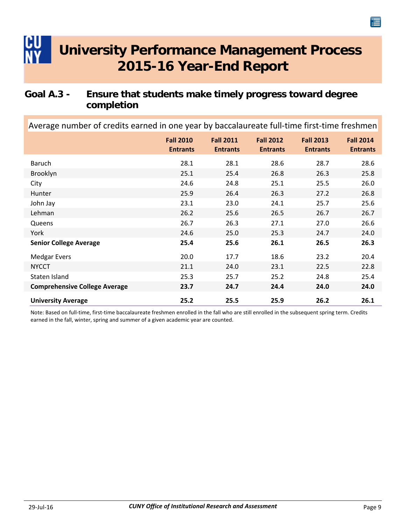### <span id="page-11-0"></span>**Goal A.3 - Ensure that students make timely progress toward degree completion**

Average number of credits earned in one year by baccalaureate full-time first-time freshmen

|                                      | <b>Fall 2010</b><br><b>Entrants</b> | <b>Fall 2011</b><br><b>Entrants</b> | <b>Fall 2012</b><br><b>Entrants</b> | <b>Fall 2013</b><br><b>Entrants</b> | <b>Fall 2014</b><br><b>Entrants</b> |
|--------------------------------------|-------------------------------------|-------------------------------------|-------------------------------------|-------------------------------------|-------------------------------------|
| Baruch                               | 28.1                                | 28.1                                | 28.6                                | 28.7                                | 28.6                                |
| Brooklyn                             | 25.1                                | 25.4                                | 26.8                                | 26.3                                | 25.8                                |
| City                                 | 24.6                                | 24.8                                | 25.1                                | 25.5                                | 26.0                                |
| Hunter                               | 25.9                                | 26.4                                | 26.3                                | 27.2                                | 26.8                                |
| John Jay                             | 23.1                                | 23.0                                | 24.1                                | 25.7                                | 25.6                                |
| Lehman                               | 26.2                                | 25.6                                | 26.5                                | 26.7                                | 26.7                                |
| Queens                               | 26.7                                | 26.3                                | 27.1                                | 27.0                                | 26.6                                |
| York                                 | 24.6                                | 25.0                                | 25.3                                | 24.7                                | 24.0                                |
| <b>Senior College Average</b>        | 25.4                                | 25.6                                | 26.1                                | 26.5                                | 26.3                                |
| <b>Medgar Evers</b>                  | 20.0                                | 17.7                                | 18.6                                | 23.2                                | 20.4                                |
| <b>NYCCT</b>                         | 21.1                                | 24.0                                | 23.1                                | 22.5                                | 22.8                                |
| Staten Island                        | 25.3                                | 25.7                                | 25.2                                | 24.8                                | 25.4                                |
| <b>Comprehensive College Average</b> | 23.7                                | 24.7                                | 24.4                                | 24.0                                | 24.0                                |
| <b>University Average</b>            | 25.2                                | 25.5                                | 25.9                                | 26.2                                | 26.1                                |

Note: Based on full‐time, first‐time baccalaureate freshmen enrolled in the fall who are still enrolled in the subsequent spring term. Credits earned in the fall, winter, spring and summer of a given academic year are counted.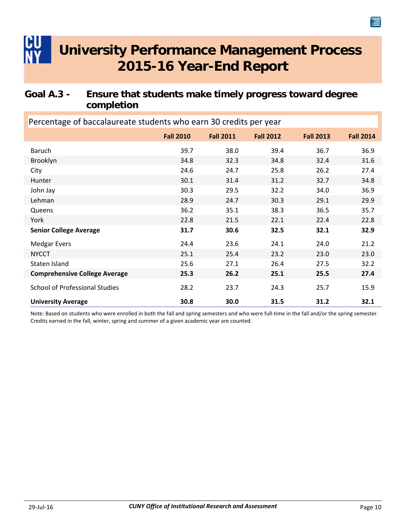### <span id="page-12-0"></span>**Goal A.3 - Ensure that students make timely progress toward degree completion**

| Percentage of baccalaureate students who earn 30 credits per year |                  |                  |                  |                  |                  |  |
|-------------------------------------------------------------------|------------------|------------------|------------------|------------------|------------------|--|
|                                                                   | <b>Fall 2010</b> | <b>Fall 2011</b> | <b>Fall 2012</b> | <b>Fall 2013</b> | <b>Fall 2014</b> |  |
| <b>Baruch</b>                                                     | 39.7             | 38.0             | 39.4             | 36.7             | 36.9             |  |
| Brooklyn                                                          | 34.8             | 32.3             | 34.8             | 32.4             | 31.6             |  |
| City                                                              | 24.6             | 24.7             | 25.8             | 26.2             | 27.4             |  |
| Hunter                                                            | 30.1             | 31.4             | 31.2             | 32.7             | 34.8             |  |
| John Jay                                                          | 30.3             | 29.5             | 32.2             | 34.0             | 36.9             |  |
| Lehman                                                            | 28.9             | 24.7             | 30.3             | 29.1             | 29.9             |  |
| Queens                                                            | 36.2             | 35.1             | 38.3             | 36.5             | 35.7             |  |
| York                                                              | 22.8             | 21.5             | 22.1             | 22.4             | 22.8             |  |
| <b>Senior College Average</b>                                     | 31.7             | 30.6             | 32.5             | 32.1             | 32.9             |  |
| <b>Medgar Evers</b>                                               | 24.4             | 23.6             | 24.1             | 24.0             | 21.2             |  |
| <b>NYCCT</b>                                                      | 25.1             | 25.4             | 23.2             | 23.0             | 23.0             |  |
| Staten Island                                                     | 25.6             | 27.1             | 26.4             | 27.5             | 32.2             |  |
| <b>Comprehensive College Average</b>                              | 25.3             | 26.2             | 25.1             | 25.5             | 27.4             |  |
| <b>School of Professional Studies</b>                             | 28.2             | 23.7             | 24.3             | 25.7             | 15.9             |  |
| <b>University Average</b>                                         | 30.8             | 30.0             | 31.5             | 31.2             | 32.1             |  |

Note: Based on students who were enrolled in both the fall and spring semesters and who were full‐time in the fall and/or the spring semester. Credits earned in the fall, winter, spring and summer of a given academic year are counted.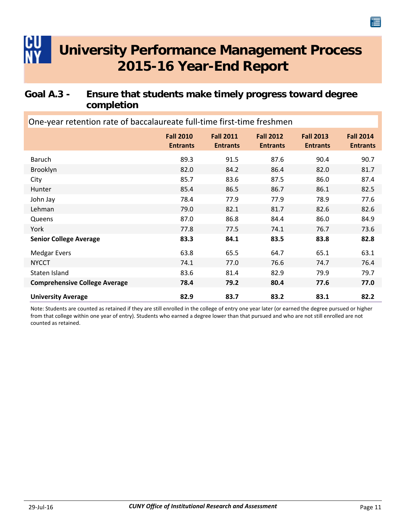### <span id="page-13-0"></span>**Goal A.3 - Ensure that students make timely progress toward degree completion**

| One-year retention rate of baccalaureate full-time first-time freshmen |                                     |                                     |                                     |                                     |                                     |  |  |
|------------------------------------------------------------------------|-------------------------------------|-------------------------------------|-------------------------------------|-------------------------------------|-------------------------------------|--|--|
|                                                                        | <b>Fall 2010</b><br><b>Entrants</b> | <b>Fall 2011</b><br><b>Entrants</b> | <b>Fall 2012</b><br><b>Entrants</b> | <b>Fall 2013</b><br><b>Entrants</b> | <b>Fall 2014</b><br><b>Entrants</b> |  |  |
| Baruch                                                                 | 89.3                                | 91.5                                | 87.6                                | 90.4                                | 90.7                                |  |  |
| Brooklyn                                                               | 82.0                                | 84.2                                | 86.4                                | 82.0                                | 81.7                                |  |  |
| City                                                                   | 85.7                                | 83.6                                | 87.5                                | 86.0                                | 87.4                                |  |  |
| Hunter                                                                 | 85.4                                | 86.5                                | 86.7                                | 86.1                                | 82.5                                |  |  |
| John Jay                                                               | 78.4                                | 77.9                                | 77.9                                | 78.9                                | 77.6                                |  |  |
| Lehman                                                                 | 79.0                                | 82.1                                | 81.7                                | 82.6                                | 82.6                                |  |  |
| Queens                                                                 | 87.0                                | 86.8                                | 84.4                                | 86.0                                | 84.9                                |  |  |
| York                                                                   | 77.8                                | 77.5                                | 74.1                                | 76.7                                | 73.6                                |  |  |
| <b>Senior College Average</b>                                          | 83.3                                | 84.1                                | 83.5                                | 83.8                                | 82.8                                |  |  |
| <b>Medgar Evers</b>                                                    | 63.8                                | 65.5                                | 64.7                                | 65.1                                | 63.1                                |  |  |
| <b>NYCCT</b>                                                           | 74.1                                | 77.0                                | 76.6                                | 74.7                                | 76.4                                |  |  |
| Staten Island                                                          | 83.6                                | 81.4                                | 82.9                                | 79.9                                | 79.7                                |  |  |
| <b>Comprehensive College Average</b>                                   | 78.4                                | 79.2                                | 80.4                                | 77.6                                | 77.0                                |  |  |
| <b>University Average</b>                                              | 82.9                                | 83.7                                | 83.2                                | 83.1                                | 82.2                                |  |  |

Note: Students are counted as retained if they are still enrolled in the college of entry one year later (or earned the degree pursued or higher from that college within one year of entry). Students who earned a degree lower than that pursued and who are not still enrolled are not counted as retained.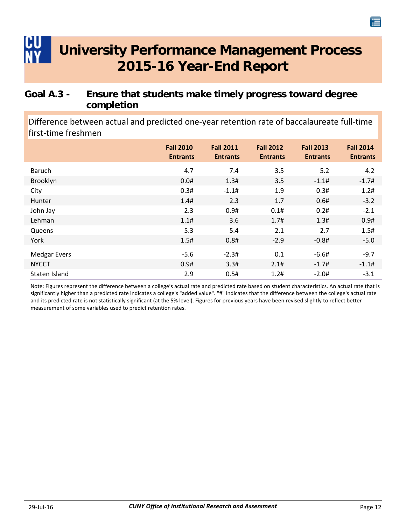### <span id="page-14-0"></span>**Goal A.3 - Ensure that students make timely progress toward degree completion**

Difference between actual and predicted one‐year retention rate of baccalaureate full‐time first‐time freshmen

|                     | <b>Fall 2010</b><br><b>Entrants</b> | <b>Fall 2011</b><br><b>Entrants</b> | <b>Fall 2012</b><br><b>Entrants</b> | <b>Fall 2013</b><br><b>Entrants</b> | <b>Fall 2014</b><br><b>Entrants</b> |
|---------------------|-------------------------------------|-------------------------------------|-------------------------------------|-------------------------------------|-------------------------------------|
| Baruch              | 4.7                                 | 7.4                                 | 3.5                                 | 5.2                                 | 4.2                                 |
| Brooklyn            | 0.0#                                | 1.3#                                | 3.5                                 | $-1.1#$                             | $-1.7#$                             |
| City                | 0.3#                                | $-1.1#$                             | 1.9                                 | 0.3#                                | 1.2#                                |
| Hunter              | 1.4#                                | 2.3                                 | 1.7                                 | 0.6#                                | $-3.2$                              |
| John Jay            | 2.3                                 | 0.9#                                | 0.1#                                | 0.2#                                | $-2.1$                              |
| Lehman              | 1.1#                                | 3.6                                 | 1.7#                                | 1.3#                                | 0.9#                                |
| Queens              | 5.3                                 | 5.4                                 | 2.1                                 | 2.7                                 | 1.5#                                |
| York                | 1.5#                                | 0.8#                                | $-2.9$                              | $-0.8#$                             | $-5.0$                              |
| <b>Medgar Evers</b> | $-5.6$                              | $-2.3#$                             | 0.1                                 | $-6.6#$                             | $-9.7$                              |
| <b>NYCCT</b>        | 0.9#                                | 3.3#                                | 2.1#                                | $-1.7#$                             | $-1.1#$                             |
| Staten Island       | 2.9                                 | 0.5#                                | 1.2#                                | $-2.0#$                             | $-3.1$                              |

Note: Figures represent the difference between a college's actual rate and predicted rate based on student characteristics. An actual rate that is significantly higher than a predicted rate indicates a college's "added value". "#" indicates that the difference between the college's actual rate and its predicted rate is not statistically significant (at the 5% level). Figures for previous years have been revised slightly to reflect better measurement of some variables used to predict retention rates.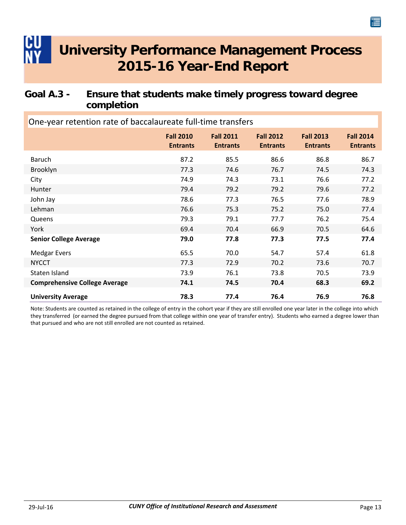### <span id="page-15-0"></span>**Goal A.3 - Ensure that students make timely progress toward degree completion**

**Fall 2010 Entrants Fall 2014 Entrants Fall 2013 Entrants Fall 2012 Entrants Fall 2011 Entrants** One‐year retention rate of baccalaureate full‐time transfers Baruch 87.2 85.5 86.6 86.8 86.7 Brooklyn 77.3 74.6 76.7 74.5 74.3 City 74.9 74.3 73.1 76.6 77.2 Hunter 79.4 79.2 79.2 79.6 77.2 John Jay 78.6 77.3 76.5 77.6 78.9 Lehman 76.6 75.3 75.2 75.0 77.4 Queens 2012 19.3 79.3 79.1 77.7 76.2 75.4 York 69.4 70.4 66.9 70.5 64.6 **Senior College Average 79.0 77.8 77.3 77.5 77.4** Medgar Evers 65.5 65.5 70.0 54.7 57.4 61.8 NYCCT 77.3 72.9 70.2 73.6 70.7 Staten Island 73.9 76.1 73.8 70.5 73.9 **Comprehensive College Average 74.1 74.5 70.4 68.3 69.2 University Average 78.3 77.4 76.4 76.9 76.8**

Note: Students are counted as retained in the college of entry in the cohort year if they are still enrolled one year later in the college into which they transferred (or earned the degree pursued from that college within one year of transfer entry). Students who earned a degree lower than that pursued and who are not still enrolled are not counted as retained.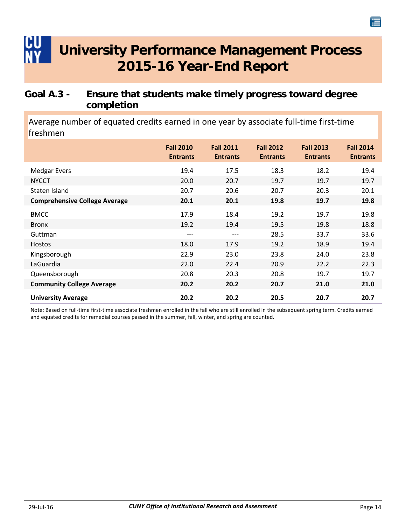### <span id="page-16-0"></span>**Goal A.3 - Ensure that students make timely progress toward degree completion**

Average number of equated credits earned in one year by associate full‐time first‐time freshmen

|                                      | <b>Fall 2010</b><br><b>Entrants</b> | <b>Fall 2011</b><br><b>Entrants</b> | <b>Fall 2012</b><br><b>Entrants</b> | <b>Fall 2013</b><br><b>Entrants</b> | <b>Fall 2014</b><br><b>Entrants</b> |
|--------------------------------------|-------------------------------------|-------------------------------------|-------------------------------------|-------------------------------------|-------------------------------------|
| <b>Medgar Evers</b>                  | 19.4                                | 17.5                                | 18.3                                | 18.2                                | 19.4                                |
| <b>NYCCT</b>                         | 20.0                                | 20.7                                | 19.7                                | 19.7                                | 19.7                                |
| Staten Island                        | 20.7                                | 20.6                                | 20.7                                | 20.3                                | 20.1                                |
| <b>Comprehensive College Average</b> | 20.1                                | 20.1                                | 19.8                                | 19.7                                | 19.8                                |
| <b>BMCC</b>                          | 17.9                                | 18.4                                | 19.2                                | 19.7                                | 19.8                                |
| <b>Bronx</b>                         | 19.2                                | 19.4                                | 19.5                                | 19.8                                | 18.8                                |
| Guttman                              | ---                                 | $---$                               | 28.5                                | 33.7                                | 33.6                                |
| <b>Hostos</b>                        | 18.0                                | 17.9                                | 19.2                                | 18.9                                | 19.4                                |
| Kingsborough                         | 22.9                                | 23.0                                | 23.8                                | 24.0                                | 23.8                                |
| LaGuardia                            | 22.0                                | 22.4                                | 20.9                                | 22.2                                | 22.3                                |
| Queensborough                        | 20.8                                | 20.3                                | 20.8                                | 19.7                                | 19.7                                |
| <b>Community College Average</b>     | 20.2                                | 20.2                                | 20.7                                | 21.0                                | 21.0                                |
| <b>University Average</b>            | 20.2                                | 20.2                                | 20.5                                | 20.7                                | 20.7                                |

Note: Based on full‐time first‐time associate freshmen enrolled in the fall who are still enrolled in the subsequent spring term. Credits earned and equated credits for remedial courses passed in the summer, fall, winter, and spring are counted.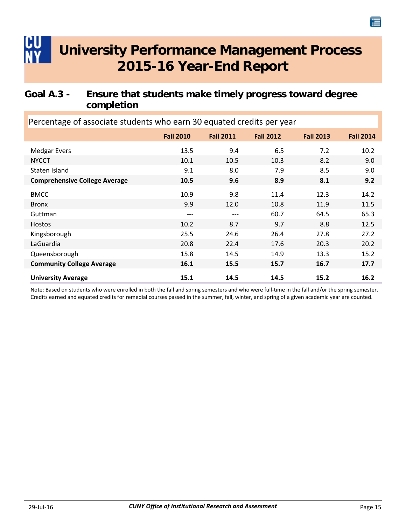### <span id="page-17-0"></span>**Goal A.3 - Ensure that students make timely progress toward degree completion**

| Percentage of associate students who earn 30 equated credits per year |                  |                  |                  |                  |                  |  |  |
|-----------------------------------------------------------------------|------------------|------------------|------------------|------------------|------------------|--|--|
|                                                                       | <b>Fall 2010</b> | <b>Fall 2011</b> | <b>Fall 2012</b> | <b>Fall 2013</b> | <b>Fall 2014</b> |  |  |
| <b>Medgar Evers</b>                                                   | 13.5             | 9.4              | 6.5              | 7.2              | 10.2             |  |  |
| <b>NYCCT</b>                                                          | 10.1             | 10.5             | 10.3             | 8.2              | 9.0              |  |  |
| Staten Island                                                         | 9.1              | 8.0              | 7.9              | 8.5              | 9.0              |  |  |
| <b>Comprehensive College Average</b>                                  | 10.5             | 9.6              | 8.9              | 8.1              | 9.2              |  |  |
| <b>BMCC</b>                                                           | 10.9             | 9.8              | 11.4             | 12.3             | 14.2             |  |  |
| <b>Bronx</b>                                                          | 9.9              | 12.0             | 10.8             | 11.9             | 11.5             |  |  |
| Guttman                                                               | $---$            | ---              | 60.7             | 64.5             | 65.3             |  |  |
| <b>Hostos</b>                                                         | 10.2             | 8.7              | 9.7              | 8.8              | 12.5             |  |  |
| Kingsborough                                                          | 25.5             | 24.6             | 26.4             | 27.8             | 27.2             |  |  |
| LaGuardia                                                             | 20.8             | 22.4             | 17.6             | 20.3             | 20.2             |  |  |
| Queensborough                                                         | 15.8             | 14.5             | 14.9             | 13.3             | 15.2             |  |  |
| <b>Community College Average</b>                                      | 16.1             | 15.5             | 15.7             | 16.7             | 17.7             |  |  |
| <b>University Average</b>                                             | 15.1             | 14.5             | 14.5             | 15.2             | 16.2             |  |  |

Note: Based on students who were enrolled in both the fall and spring semesters and who were full‐time in the fall and/or the spring semester. Credits earned and equated credits for remedial courses passed in the summer, fall, winter, and spring of a given academic year are counted.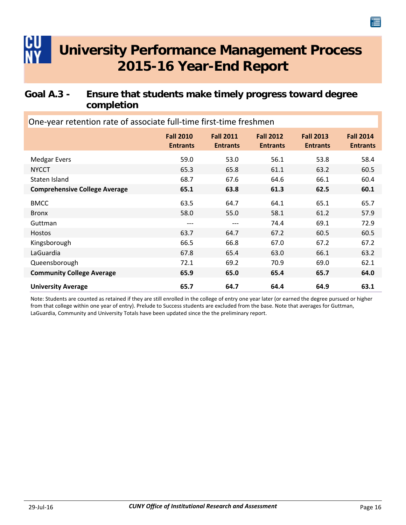### <span id="page-18-0"></span>**Goal A.3 - Ensure that students make timely progress toward degree completion**

**Fall 2010 Entrants Fall 2014 Entrants Fall 2013 Entrants Fall 2012 Entrants Fall 2011 Entrants** One‐year retention rate of associate full‐time first‐time freshmen Medgar Evers 658.4 58.4 59.0 53.0 56.1 53.8 58.4 NYCCT 65.3 65.3 65.8 61.1 63.2 60.5 Staten Island 68.7 68.7 67.6 64.6 66.1 60.4 **Comprehensive College Average 65.1 63.8 61.3 62.5 60.1** BMCC 65.7 64.7 64.1 65.1 65.7 Bronx 61.2 57.9 Guttman ‐‐‐ ‐‐‐ 74.4 69.1 72.9 Hostos 63.7 64.7 67.2 60.5 60.5 Kingsborough 67.2 67.2 66.5 66.8 67.0 67.2 67.2 LaGuardia 67.8 65.4 63.0 66.1 63.2 Queensborough 72.1 69.2 70.9 69.0 62.1 **Community College Average 65.9 65.0 65.4 65.7 64.0 University Average 65.7 64.7 64.4 64.9 63.1**

Note: Students are counted as retained if they are still enrolled in the college of entry one year later (or earned the degree pursued or higher from that college within one year of entry). Prelude to Success students are excluded from the base. Note that averages for Guttman, LaGuardia, Community and University Totals have been updated since the the preliminary report.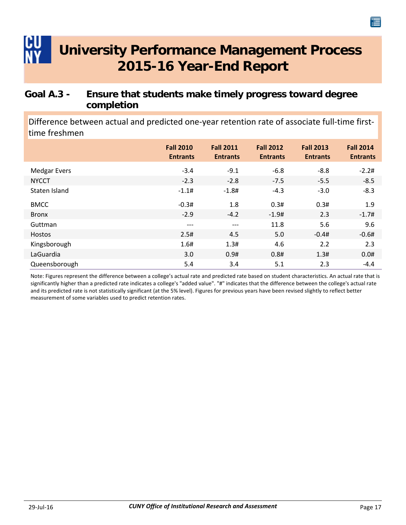### <span id="page-19-0"></span>**Goal A.3 - Ensure that students make timely progress toward degree completion**

Difference between actual and predicted one-year retention rate of associate full-time firsttime freshmen

|                     | <b>Fall 2010</b><br><b>Entrants</b> | <b>Fall 2011</b><br><b>Entrants</b> | <b>Fall 2012</b><br><b>Entrants</b> | <b>Fall 2013</b><br><b>Entrants</b> | <b>Fall 2014</b><br><b>Entrants</b> |
|---------------------|-------------------------------------|-------------------------------------|-------------------------------------|-------------------------------------|-------------------------------------|
| <b>Medgar Evers</b> | $-3.4$                              | $-9.1$                              | $-6.8$                              | $-8.8$                              | $-2.2#$                             |
| <b>NYCCT</b>        | $-2.3$                              | $-2.8$                              | $-7.5$                              | $-5.5$                              | $-8.5$                              |
| Staten Island       | $-1.1#$                             | $-1.8#$                             | $-4.3$                              | $-3.0$                              | $-8.3$                              |
| <b>BMCC</b>         | $-0.3#$                             | 1.8                                 | 0.3#                                | 0.3#                                | 1.9                                 |
| <b>Bronx</b>        | $-2.9$                              | $-4.2$                              | $-1.9#$                             | 2.3                                 | $-1.7#$                             |
| Guttman             | $---$                               | $---$                               | 11.8                                | 5.6                                 | 9.6                                 |
| Hostos              | 2.5#                                | 4.5                                 | 5.0                                 | $-0.4#$                             | $-0.6#$                             |
| Kingsborough        | 1.6#                                | 1.3#                                | 4.6                                 | 2.2                                 | 2.3                                 |
| LaGuardia           | 3.0                                 | 0.9#                                | 0.8#                                | 1.3#                                | 0.0#                                |
| Queensborough       | 5.4                                 | 3.4                                 | 5.1                                 | 2.3                                 | $-4.4$                              |

Note: Figures represent the difference between a college's actual rate and predicted rate based on student characteristics. An actual rate that is significantly higher than a predicted rate indicates a college's "added value". "#" indicates that the difference between the college's actual rate and its predicted rate is not statistically significant (at the 5% level). Figures for previous years have been revised slightly to reflect better measurement of some variables used to predict retention rates.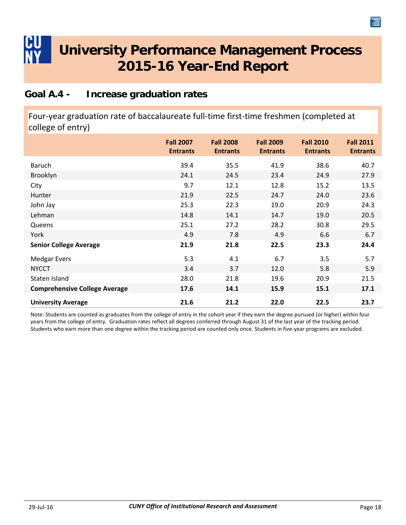### <span id="page-20-0"></span>**Goal A.4 - Increase graduation rates**

Four‐year graduation rate of baccalaureate full‐time first‐time freshmen (completed at college of entry)

|                                      | <b>Fall 2007</b><br><b>Entrants</b> | <b>Fall 2008</b><br><b>Entrants</b> | <b>Fall 2009</b><br><b>Entrants</b> | <b>Fall 2010</b><br><b>Entrants</b> | <b>Fall 2011</b><br><b>Entrants</b> |
|--------------------------------------|-------------------------------------|-------------------------------------|-------------------------------------|-------------------------------------|-------------------------------------|
| Baruch                               | 39.4                                | 35.5                                | 41.9                                | 38.6                                | 40.7                                |
| Brooklyn                             | 24.1                                | 24.5                                | 23.4                                | 24.9                                | 27.9                                |
| City                                 | 9.7                                 | 12.1                                | 12.8                                | 15.2                                | 13.5                                |
| Hunter                               | 21.9                                | 22.5                                | 24.7                                | 24.0                                | 23.6                                |
| John Jay                             | 25.3                                | 22.3                                | 19.0                                | 20.9                                | 24.3                                |
| Lehman                               | 14.8                                | 14.1                                | 14.7                                | 19.0                                | 20.5                                |
| Queens                               | 25.1                                | 27.2                                | 28.2                                | 30.8                                | 29.5                                |
| York                                 | 4.9                                 | 7.8                                 | 4.9                                 | 6.6                                 | 6.7                                 |
| <b>Senior College Average</b>        | 21.9                                | 21.8                                | 22.5                                | 23.3                                | 24.4                                |
| <b>Medgar Evers</b>                  | 5.3                                 | 4.1                                 | 6.7                                 | 3.5                                 | 5.7                                 |
| <b>NYCCT</b>                         | 3.4                                 | 3.7                                 | 12.0                                | 5.8                                 | 5.9                                 |
| Staten Island                        | 28.0                                | 21.8                                | 19.6                                | 20.9                                | 21.5                                |
| <b>Comprehensive College Average</b> | 17.6                                | 14.1                                | 15.9                                | 15.1                                | 17.1                                |
| <b>University Average</b>            | 21.6                                | 21.2                                | 22.0                                | 22.5                                | 23.7                                |

Note: Students are counted as graduates from the college of entry in the cohort year if they earn the degree pursued (or higher) within four years from the college of entry. Graduation rates reflect all degrees conferred through August 31 of the last year of the tracking period. Students who earn more than one degree within the tracking period are counted only once. Students in five‐year programs are excluded.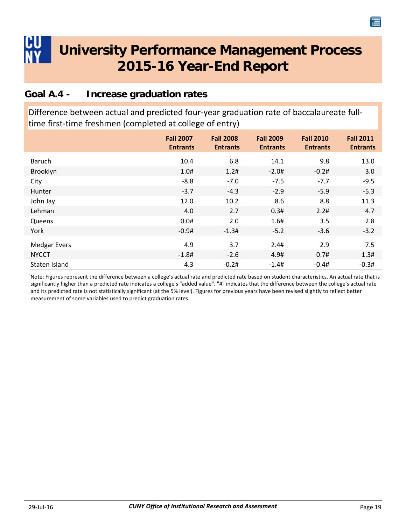### <span id="page-21-0"></span>**Goal A.4 - Increase graduation rates**

Difference between actual and predicted four-year graduation rate of baccalaureate fulltime first-time freshmen (completed at college of entry)

|                     | <b>Fall 2007</b><br><b>Entrants</b> | <b>Fall 2008</b><br><b>Entrants</b> | <b>Fall 2009</b><br><b>Entrants</b> | <b>Fall 2010</b><br><b>Entrants</b> | <b>Fall 2011</b><br><b>Entrants</b> |
|---------------------|-------------------------------------|-------------------------------------|-------------------------------------|-------------------------------------|-------------------------------------|
| Baruch              | 10.4                                | 6.8                                 | 14.1                                | 9.8                                 | 13.0                                |
| Brooklyn            | 1.0#                                | 1.2#                                | $-2.0#$                             | $-0.2#$                             | 3.0                                 |
| City                | $-8.8$                              | $-7.0$                              | $-7.5$                              | $-7.7$                              | $-9.5$                              |
| Hunter              | $-3.7$                              | $-4.3$                              | $-2.9$                              | $-5.9$                              | $-5.3$                              |
| John Jay            | 12.0                                | 10.2                                | 8.6                                 | 8.8                                 | 11.3                                |
| Lehman              | 4.0                                 | 2.7                                 | 0.3#                                | 2.2#                                | 4.7                                 |
| Queens              | 0.0#                                | 2.0                                 | 1.6#                                | 3.5                                 | 2.8                                 |
| York                | $-0.9#$                             | $-1.3#$                             | $-5.2$                              | $-3.6$                              | $-3.2$                              |
| <b>Medgar Evers</b> | 4.9                                 | 3.7                                 | 2.4#                                | 2.9                                 | 7.5                                 |
| <b>NYCCT</b>        | $-1.8#$                             | $-2.6$                              | 4.9#                                | 0.7#                                | 1.3#                                |
| Staten Island       | 4.3                                 | $-0.2#$                             | $-1.4#$                             | $-0.4#$                             | $-0.3#$                             |

Note: Figures represent the difference between a college's actual rate and predicted rate based on student characteristics. An actual rate that is significantly higher than a predicted rate indicates a college's "added value". "#" indicates that the difference between the college's actual rate and its predicted rate is not statistically significant (at the 5% level). Figures for previous years have been revised slightly to reflect better measurement of some variables used to predict graduation rates.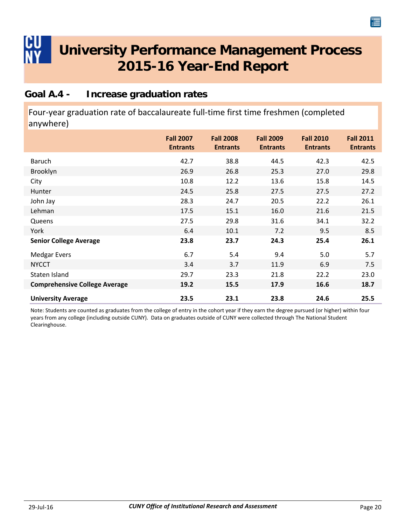#### <span id="page-22-0"></span>**Goal A.4 - Increase graduation rates**

Four‐year graduation rate of baccalaureate full‐time first time freshmen (completed anywhere)

|                                      | <b>Fall 2007</b><br><b>Entrants</b> | <b>Fall 2008</b><br><b>Entrants</b> | <b>Fall 2009</b><br><b>Entrants</b> | <b>Fall 2010</b><br><b>Entrants</b> | <b>Fall 2011</b><br><b>Entrants</b> |
|--------------------------------------|-------------------------------------|-------------------------------------|-------------------------------------|-------------------------------------|-------------------------------------|
| Baruch                               | 42.7                                | 38.8                                | 44.5                                | 42.3                                | 42.5                                |
| Brooklyn                             | 26.9                                | 26.8                                | 25.3                                | 27.0                                | 29.8                                |
| City                                 | 10.8                                | 12.2                                | 13.6                                | 15.8                                | 14.5                                |
| Hunter                               | 24.5                                | 25.8                                | 27.5                                | 27.5                                | 27.2                                |
| John Jay                             | 28.3                                | 24.7                                | 20.5                                | 22.2                                | 26.1                                |
| Lehman                               | 17.5                                | 15.1                                | 16.0                                | 21.6                                | 21.5                                |
| Queens                               | 27.5                                | 29.8                                | 31.6                                | 34.1                                | 32.2                                |
| York                                 | 6.4                                 | 10.1                                | 7.2                                 | 9.5                                 | 8.5                                 |
| <b>Senior College Average</b>        | 23.8                                | 23.7                                | 24.3                                | 25.4                                | 26.1                                |
| <b>Medgar Evers</b>                  | 6.7                                 | 5.4                                 | 9.4                                 | 5.0                                 | 5.7                                 |
| <b>NYCCT</b>                         | 3.4                                 | 3.7                                 | 11.9                                | 6.9                                 | 7.5                                 |
| Staten Island                        | 29.7                                | 23.3                                | 21.8                                | 22.2                                | 23.0                                |
| <b>Comprehensive College Average</b> | 19.2                                | 15.5                                | 17.9                                | 16.6                                | 18.7                                |
| <b>University Average</b>            | 23.5                                | 23.1                                | 23.8                                | 24.6                                | 25.5                                |

Note: Students are counted as graduates from the college of entry in the cohort year if they earn the degree pursued (or higher) within four years from any college (including outside CUNY). Data on graduates outside of CUNY were collected through The National Student Clearinghouse.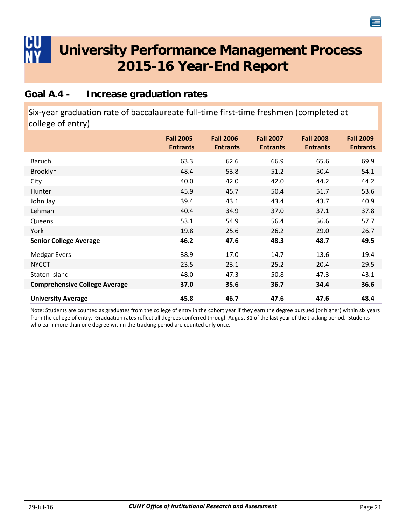#### <span id="page-23-0"></span>**Goal A.4 - Increase graduation rates**

Six‐year graduation rate of baccalaureate full‐time first‐time freshmen (completed at college of entry)

|                                      | <b>Fall 2005</b><br><b>Entrants</b> | <b>Fall 2006</b><br><b>Entrants</b> | <b>Fall 2007</b><br><b>Entrants</b> | <b>Fall 2008</b><br><b>Entrants</b> | <b>Fall 2009</b><br><b>Entrants</b> |
|--------------------------------------|-------------------------------------|-------------------------------------|-------------------------------------|-------------------------------------|-------------------------------------|
| <b>Baruch</b>                        | 63.3                                | 62.6                                | 66.9                                | 65.6                                | 69.9                                |
| Brooklyn                             | 48.4                                | 53.8                                | 51.2                                | 50.4                                | 54.1                                |
| City                                 | 40.0                                | 42.0                                | 42.0                                | 44.2                                | 44.2                                |
| Hunter                               | 45.9                                | 45.7                                | 50.4                                | 51.7                                | 53.6                                |
| John Jay                             | 39.4                                | 43.1                                | 43.4                                | 43.7                                | 40.9                                |
| Lehman                               | 40.4                                | 34.9                                | 37.0                                | 37.1                                | 37.8                                |
| Queens                               | 53.1                                | 54.9                                | 56.4                                | 56.6                                | 57.7                                |
| York                                 | 19.8                                | 25.6                                | 26.2                                | 29.0                                | 26.7                                |
| <b>Senior College Average</b>        | 46.2                                | 47.6                                | 48.3                                | 48.7                                | 49.5                                |
| <b>Medgar Evers</b>                  | 38.9                                | 17.0                                | 14.7                                | 13.6                                | 19.4                                |
| <b>NYCCT</b>                         | 23.5                                | 23.1                                | 25.2                                | 20.4                                | 29.5                                |
| Staten Island                        | 48.0                                | 47.3                                | 50.8                                | 47.3                                | 43.1                                |
| <b>Comprehensive College Average</b> | 37.0                                | 35.6                                | 36.7                                | 34.4                                | 36.6                                |
| <b>University Average</b>            | 45.8                                | 46.7                                | 47.6                                | 47.6                                | 48.4                                |

Note: Students are counted as graduates from the college of entry in the cohort year if they earn the degree pursued (or higher) within six years from the college of entry. Graduation rates reflect all degrees conferred through August 31 of the last year of the tracking period. Students who earn more than one degree within the tracking period are counted only once.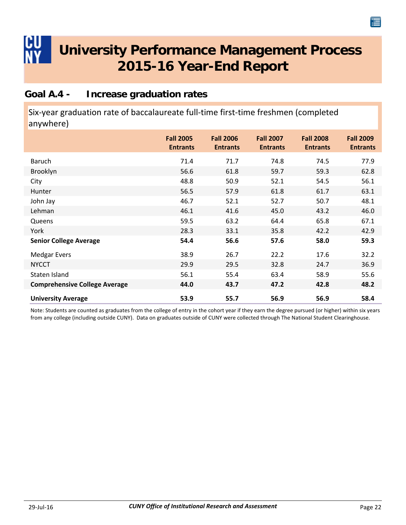#### <span id="page-24-0"></span>**Goal A.4 - Increase graduation rates**

Six‐year graduation rate of baccalaureate full‐time first‐time freshmen (completed anywhere)

|                                      | <b>Fall 2005</b><br><b>Entrants</b> | <b>Fall 2006</b><br><b>Entrants</b> | <b>Fall 2007</b><br><b>Entrants</b> | <b>Fall 2008</b><br><b>Entrants</b> | <b>Fall 2009</b><br><b>Entrants</b> |
|--------------------------------------|-------------------------------------|-------------------------------------|-------------------------------------|-------------------------------------|-------------------------------------|
| <b>Baruch</b>                        | 71.4                                | 71.7                                | 74.8                                | 74.5                                | 77.9                                |
| Brooklyn                             | 56.6                                | 61.8                                | 59.7                                | 59.3                                | 62.8                                |
| City                                 | 48.8                                | 50.9                                | 52.1                                | 54.5                                | 56.1                                |
| Hunter                               | 56.5                                | 57.9                                | 61.8                                | 61.7                                | 63.1                                |
| John Jay                             | 46.7                                | 52.1                                | 52.7                                | 50.7                                | 48.1                                |
| Lehman                               | 46.1                                | 41.6                                | 45.0                                | 43.2                                | 46.0                                |
| Queens                               | 59.5                                | 63.2                                | 64.4                                | 65.8                                | 67.1                                |
| York                                 | 28.3                                | 33.1                                | 35.8                                | 42.2                                | 42.9                                |
| <b>Senior College Average</b>        | 54.4                                | 56.6                                | 57.6                                | 58.0                                | 59.3                                |
| <b>Medgar Evers</b>                  | 38.9                                | 26.7                                | 22.2                                | 17.6                                | 32.2                                |
| <b>NYCCT</b>                         | 29.9                                | 29.5                                | 32.8                                | 24.7                                | 36.9                                |
| Staten Island                        | 56.1                                | 55.4                                | 63.4                                | 58.9                                | 55.6                                |
| <b>Comprehensive College Average</b> | 44.0                                | 43.7                                | 47.2                                | 42.8                                | 48.2                                |
| <b>University Average</b>            | 53.9                                | 55.7                                | 56.9                                | 56.9                                | 58.4                                |

Note: Students are counted as graduates from the college of entry in the cohort year if they earn the degree pursued (or higher) within six years from any college (including outside CUNY). Data on graduates outside of CUNY were collected through The National Student Clearinghouse.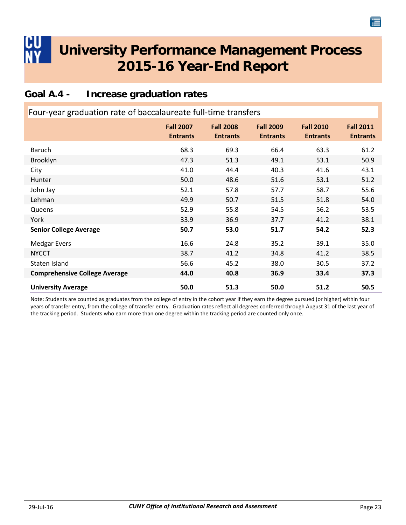#### <span id="page-25-0"></span>**Goal A.4 - Increase graduation rates**

| Four-year graduation rate of baccalaureate full-time transfers |                                     |                                     |                                     |                                     |                                     |  |  |
|----------------------------------------------------------------|-------------------------------------|-------------------------------------|-------------------------------------|-------------------------------------|-------------------------------------|--|--|
|                                                                | <b>Fall 2007</b><br><b>Entrants</b> | <b>Fall 2008</b><br><b>Entrants</b> | <b>Fall 2009</b><br><b>Entrants</b> | <b>Fall 2010</b><br><b>Entrants</b> | <b>Fall 2011</b><br><b>Entrants</b> |  |  |
| Baruch                                                         | 68.3                                | 69.3                                | 66.4                                | 63.3                                | 61.2                                |  |  |
| Brooklyn                                                       | 47.3                                | 51.3                                | 49.1                                | 53.1                                | 50.9                                |  |  |
| City                                                           | 41.0                                | 44.4                                | 40.3                                | 41.6                                | 43.1                                |  |  |
| Hunter                                                         | 50.0                                | 48.6                                | 51.6                                | 53.1                                | 51.2                                |  |  |
| John Jay                                                       | 52.1                                | 57.8                                | 57.7                                | 58.7                                | 55.6                                |  |  |
| Lehman                                                         | 49.9                                | 50.7                                | 51.5                                | 51.8                                | 54.0                                |  |  |
| Queens                                                         | 52.9                                | 55.8                                | 54.5                                | 56.2                                | 53.5                                |  |  |
| York                                                           | 33.9                                | 36.9                                | 37.7                                | 41.2                                | 38.1                                |  |  |
| <b>Senior College Average</b>                                  | 50.7                                | 53.0                                | 51.7                                | 54.2                                | 52.3                                |  |  |
| <b>Medgar Evers</b>                                            | 16.6                                | 24.8                                | 35.2                                | 39.1                                | 35.0                                |  |  |
| <b>NYCCT</b>                                                   | 38.7                                | 41.2                                | 34.8                                | 41.2                                | 38.5                                |  |  |
| Staten Island                                                  | 56.6                                | 45.2                                | 38.0                                | 30.5                                | 37.2                                |  |  |
| <b>Comprehensive College Average</b>                           | 44.0                                | 40.8                                | 36.9                                | 33.4                                | 37.3                                |  |  |
| <b>University Average</b>                                      | 50.0                                | 51.3                                | 50.0                                | 51.2                                | 50.5                                |  |  |

Note: Students are counted as graduates from the college of entry in the cohort year if they earn the degree pursued (or higher) within four years of transfer entry, from the college of transfer entry. Graduation rates reflect all degrees conferred through August 31 of the last year of the tracking period. Students who earn more than one degree within the tracking period are counted only once.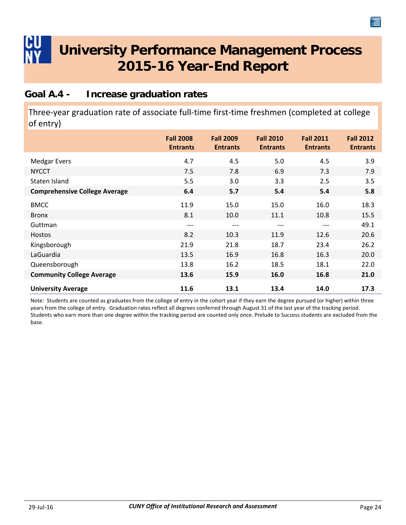#### <span id="page-26-0"></span>**Goal A.4 - Increase graduation rates**

Three‐year graduation rate of associate full‐time first‐time freshmen (completed at college of entry)

|                                      | <b>Fall 2008</b><br><b>Entrants</b> | <b>Fall 2009</b><br><b>Entrants</b> | <b>Fall 2010</b><br><b>Entrants</b> | <b>Fall 2011</b><br><b>Entrants</b> | <b>Fall 2012</b><br><b>Entrants</b> |
|--------------------------------------|-------------------------------------|-------------------------------------|-------------------------------------|-------------------------------------|-------------------------------------|
| <b>Medgar Evers</b>                  | 4.7                                 | 4.5                                 | 5.0                                 | 4.5                                 | 3.9                                 |
| <b>NYCCT</b>                         | 7.5                                 | 7.8                                 | 6.9                                 | 7.3                                 | 7.9                                 |
| Staten Island                        | 5.5                                 | 3.0                                 | 3.3                                 | 2.5                                 | 3.5                                 |
| <b>Comprehensive College Average</b> | 6.4                                 | 5.7                                 | 5.4                                 | 5.4                                 | 5.8                                 |
| <b>BMCC</b>                          | 11.9                                | 15.0                                | 15.0                                | 16.0                                | 18.3                                |
| <b>Bronx</b>                         | 8.1                                 | 10.0                                | 11.1                                | 10.8                                | 15.5                                |
| Guttman                              | ---                                 | ---                                 | ---                                 | ---                                 | 49.1                                |
| Hostos                               | 8.2                                 | 10.3                                | 11.9                                | 12.6                                | 20.6                                |
| Kingsborough                         | 21.9                                | 21.8                                | 18.7                                | 23.4                                | 26.2                                |
| LaGuardia                            | 13.5                                | 16.9                                | 16.8                                | 16.3                                | 20.0                                |
| Queensborough                        | 13.8                                | 16.2                                | 18.5                                | 18.1                                | 22.0                                |
| <b>Community College Average</b>     | 13.6                                | 15.9                                | 16.0                                | 16.8                                | 21.0                                |
| <b>University Average</b>            | 11.6                                | 13.1                                | 13.4                                | 14.0                                | 17.3                                |

Note: Students are counted as graduates from the college of entry in the cohort year if they earn the degree pursued (or higher) within three years from the college of entry. Graduation rates reflect all degrees conferred through August 31 of the last year of the tracking period. Students who earn more than one degree within the tracking period are counted only once. Prelude to Success students are excluded from the base.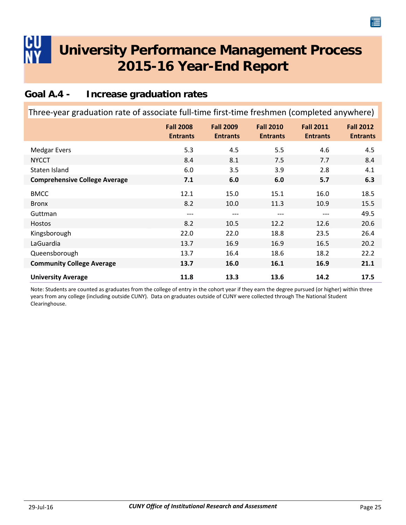#### <span id="page-27-0"></span>**Goal A.4 - Increase graduation rates**

| Three-year graduation rate of associate full-time first-time freshmen (completed anywhere) |                                     |                                     |                                     |                                     |                                     |
|--------------------------------------------------------------------------------------------|-------------------------------------|-------------------------------------|-------------------------------------|-------------------------------------|-------------------------------------|
|                                                                                            | <b>Fall 2008</b><br><b>Entrants</b> | <b>Fall 2009</b><br><b>Entrants</b> | <b>Fall 2010</b><br><b>Entrants</b> | <b>Fall 2011</b><br><b>Entrants</b> | <b>Fall 2012</b><br><b>Entrants</b> |
| <b>Medgar Evers</b>                                                                        | 5.3                                 | 4.5                                 | 5.5                                 | 4.6                                 | 4.5                                 |
| <b>NYCCT</b>                                                                               | 8.4                                 | 8.1                                 | 7.5                                 | 7.7                                 | 8.4                                 |
| Staten Island                                                                              | 6.0                                 | 3.5                                 | 3.9                                 | 2.8                                 | 4.1                                 |
| <b>Comprehensive College Average</b>                                                       | 7.1                                 | 6.0                                 | 6.0                                 | 5.7                                 | 6.3                                 |
| <b>BMCC</b>                                                                                | 12.1                                | 15.0                                | 15.1                                | 16.0                                | 18.5                                |
| <b>Bronx</b>                                                                               | 8.2                                 | 10.0                                | 11.3                                | 10.9                                | 15.5                                |
| Guttman                                                                                    | ---                                 | ---                                 | ---                                 | ---                                 | 49.5                                |
| <b>Hostos</b>                                                                              | 8.2                                 | 10.5                                | 12.2                                | 12.6                                | 20.6                                |
| Kingsborough                                                                               | 22.0                                | 22.0                                | 18.8                                | 23.5                                | 26.4                                |
| LaGuardia                                                                                  | 13.7                                | 16.9                                | 16.9                                | 16.5                                | 20.2                                |
| Queensborough                                                                              | 13.7                                | 16.4                                | 18.6                                | 18.2                                | 22.2                                |
| <b>Community College Average</b>                                                           | 13.7                                | 16.0                                | 16.1                                | 16.9                                | 21.1                                |
| <b>University Average</b>                                                                  | 11.8                                | 13.3                                | 13.6                                | 14.2                                | 17.5                                |

Note: Students are counted as graduates from the college of entry in the cohort year if they earn the degree pursued (or higher) within three years from any college (including outside CUNY). Data on graduates outside of CUNY were collected through The National Student Clearinghouse.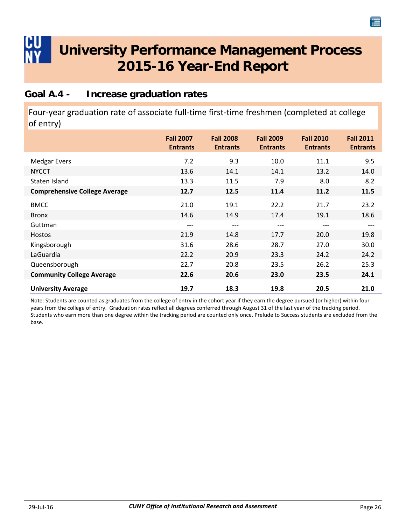#### <span id="page-28-0"></span>**Goal A.4 - Increase graduation rates**

Four‐year graduation rate of associate full‐time first‐time freshmen (completed at college of entry)

|                                      | <b>Fall 2007</b><br><b>Entrants</b> | <b>Fall 2008</b><br><b>Entrants</b> | <b>Fall 2009</b><br><b>Entrants</b> | <b>Fall 2010</b><br><b>Entrants</b> | <b>Fall 2011</b><br><b>Entrants</b> |
|--------------------------------------|-------------------------------------|-------------------------------------|-------------------------------------|-------------------------------------|-------------------------------------|
| <b>Medgar Evers</b>                  | 7.2                                 | 9.3                                 | 10.0                                | 11.1                                | 9.5                                 |
| <b>NYCCT</b>                         | 13.6                                | 14.1                                | 14.1                                | 13.2                                | 14.0                                |
| Staten Island                        | 13.3                                | 11.5                                | 7.9                                 | 8.0                                 | 8.2                                 |
| <b>Comprehensive College Average</b> | 12.7                                | 12.5                                | 11.4                                | 11.2                                | 11.5                                |
| <b>BMCC</b>                          | 21.0                                | 19.1                                | 22.2                                | 21.7                                | 23.2                                |
| <b>Bronx</b>                         | 14.6                                | 14.9                                | 17.4                                | 19.1                                | 18.6                                |
| Guttman                              | $---$                               | ---                                 | $---$                               | $---$                               | $---$                               |
| Hostos                               | 21.9                                | 14.8                                | 17.7                                | 20.0                                | 19.8                                |
| Kingsborough                         | 31.6                                | 28.6                                | 28.7                                | 27.0                                | 30.0                                |
| LaGuardia                            | 22.2                                | 20.9                                | 23.3                                | 24.2                                | 24.2                                |
| Queensborough                        | 22.7                                | 20.8                                | 23.5                                | 26.2                                | 25.3                                |
| <b>Community College Average</b>     | 22.6                                | 20.6                                | 23.0                                | 23.5                                | 24.1                                |
| <b>University Average</b>            | 19.7                                | 18.3                                | 19.8                                | 20.5                                | 21.0                                |

Note: Students are counted as graduates from the college of entry in the cohort year if they earn the degree pursued (or higher) within four years from the college of entry. Graduation rates reflect all degrees conferred through August 31 of the last year of the tracking period. Students who earn more than one degree within the tracking period are counted only once. Prelude to Success students are excluded from the base.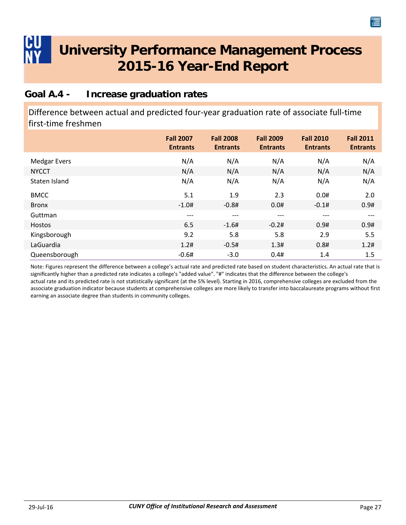#### <span id="page-29-0"></span>**Goal A.4 - Increase graduation rates**

Difference between actual and predicted four‐year graduation rate of associate full‐time first‐time freshmen

|                     | <b>Fall 2007</b><br><b>Entrants</b> | <b>Fall 2008</b><br><b>Entrants</b> | <b>Fall 2009</b><br><b>Entrants</b> | <b>Fall 2010</b><br><b>Entrants</b> | <b>Fall 2011</b><br><b>Entrants</b> |
|---------------------|-------------------------------------|-------------------------------------|-------------------------------------|-------------------------------------|-------------------------------------|
| <b>Medgar Evers</b> | N/A                                 | N/A                                 | N/A                                 | N/A                                 | N/A                                 |
| <b>NYCCT</b>        | N/A                                 | N/A                                 | N/A                                 | N/A                                 | N/A                                 |
| Staten Island       | N/A                                 | N/A                                 | N/A                                 | N/A                                 | N/A                                 |
| <b>BMCC</b>         | 5.1                                 | 1.9                                 | 2.3                                 | 0.0#                                | 2.0                                 |
| <b>Bronx</b>        | $-1.0#$                             | $-0.8#$                             | 0.0#                                | $-0.1#$                             | 0.9#                                |
| Guttman             | $---$                               | $---$                               | ---                                 | $---$                               | $---$                               |
| <b>Hostos</b>       | 6.5                                 | $-1.6#$                             | $-0.2#$                             | 0.9#                                | 0.9#                                |
| Kingsborough        | 9.2                                 | 5.8                                 | 5.8                                 | 2.9                                 | 5.5                                 |
| LaGuardia           | 1.2#                                | $-0.5#$                             | 1.3#                                | 0.8#                                | 1.2#                                |
| Queensborough       | $-0.6#$                             | $-3.0$                              | 0.4#                                | 1.4                                 | 1.5                                 |

Note: Figures represent the difference between a college's actual rate and predicted rate based on student characteristics. An actual rate that is significantly higher than a predicted rate indicates a college's "added value". "#" indicates that the difference between the college's actual rate and its predicted rate is not statistically significant (at the 5% level). Starting in 2016, comprehensive colleges are excluded from the associate graduation indicator because students at comprehensive colleges are more likely to transfer into baccalaureate programs without first earning an associate degree than students in community colleges.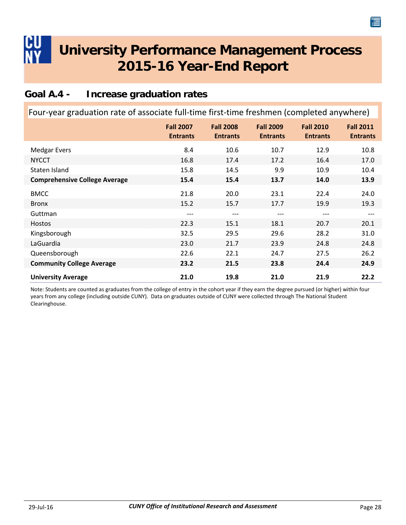#### <span id="page-30-0"></span>**Goal A.4 - Increase graduation rates**

| Four-year graduation rate of associate full-time first-time freshmen (completed anywhere) |                                     |                                     |                                     |                                     |                                     |
|-------------------------------------------------------------------------------------------|-------------------------------------|-------------------------------------|-------------------------------------|-------------------------------------|-------------------------------------|
|                                                                                           | <b>Fall 2007</b><br><b>Entrants</b> | <b>Fall 2008</b><br><b>Entrants</b> | <b>Fall 2009</b><br><b>Entrants</b> | <b>Fall 2010</b><br><b>Entrants</b> | <b>Fall 2011</b><br><b>Entrants</b> |
| <b>Medgar Evers</b>                                                                       | 8.4                                 | 10.6                                | 10.7                                | 12.9                                | 10.8                                |
| <b>NYCCT</b>                                                                              | 16.8                                | 17.4                                | 17.2                                | 16.4                                | 17.0                                |
| Staten Island                                                                             | 15.8                                | 14.5                                | 9.9                                 | 10.9                                | 10.4                                |
| <b>Comprehensive College Average</b>                                                      | 15.4                                | 15.4                                | 13.7                                | 14.0                                | 13.9                                |
| <b>BMCC</b>                                                                               | 21.8                                | 20.0                                | 23.1                                | 22.4                                | 24.0                                |
| <b>Bronx</b>                                                                              | 15.2                                | 15.7                                | 17.7                                | 19.9                                | 19.3                                |
| Guttman                                                                                   | ---                                 | ---                                 | ---                                 | ---                                 | ---                                 |
| <b>Hostos</b>                                                                             | 22.3                                | 15.1                                | 18.1                                | 20.7                                | 20.1                                |
| Kingsborough                                                                              | 32.5                                | 29.5                                | 29.6                                | 28.2                                | 31.0                                |
| LaGuardia                                                                                 | 23.0                                | 21.7                                | 23.9                                | 24.8                                | 24.8                                |
| Queensborough                                                                             | 22.6                                | 22.1                                | 24.7                                | 27.5                                | 26.2                                |
| <b>Community College Average</b>                                                          | 23.2                                | 21.5                                | 23.8                                | 24.4                                | 24.9                                |
| <b>University Average</b>                                                                 | 21.0                                | 19.8                                | 21.0                                | 21.9                                | 22.2                                |

Note: Students are counted as graduates from the college of entry in the cohort year if they earn the degree pursued (or higher) within four years from any college (including outside CUNY). Data on graduates outside of CUNY were collected through The National Student Clearinghouse.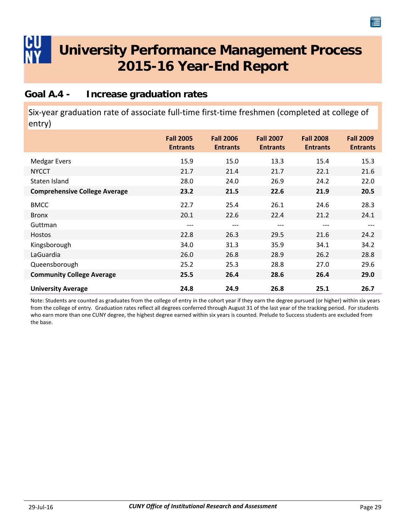#### <span id="page-31-0"></span>**Goal A.4 - Increase graduation rates**

Six-year graduation rate of associate full-time first-time freshmen (completed at college of entry)

|                                      | <b>Fall 2005</b><br><b>Entrants</b> | <b>Fall 2006</b><br><b>Entrants</b> | <b>Fall 2007</b><br><b>Entrants</b> | <b>Fall 2008</b><br><b>Entrants</b> | <b>Fall 2009</b><br><b>Entrants</b> |
|--------------------------------------|-------------------------------------|-------------------------------------|-------------------------------------|-------------------------------------|-------------------------------------|
| <b>Medgar Evers</b>                  | 15.9                                | 15.0                                | 13.3                                | 15.4                                | 15.3                                |
| <b>NYCCT</b>                         | 21.7                                | 21.4                                | 21.7                                | 22.1                                | 21.6                                |
| Staten Island                        | 28.0                                | 24.0                                | 26.9                                | 24.2                                | 22.0                                |
| <b>Comprehensive College Average</b> | 23.2                                | 21.5                                | 22.6                                | 21.9                                | 20.5                                |
| <b>BMCC</b>                          | 22.7                                | 25.4                                | 26.1                                | 24.6                                | 28.3                                |
| <b>Bronx</b>                         | 20.1                                | 22.6                                | 22.4                                | 21.2                                | 24.1                                |
| Guttman                              | ---                                 | $---$                               | $---$                               | $---$                               | ---                                 |
| Hostos                               | 22.8                                | 26.3                                | 29.5                                | 21.6                                | 24.2                                |
| Kingsborough                         | 34.0                                | 31.3                                | 35.9                                | 34.1                                | 34.2                                |
| LaGuardia                            | 26.0                                | 26.8                                | 28.9                                | 26.2                                | 28.8                                |
| Queensborough                        | 25.2                                | 25.3                                | 28.8                                | 27.0                                | 29.6                                |
| <b>Community College Average</b>     | 25.5                                | 26.4                                | 28.6                                | 26.4                                | 29.0                                |
| <b>University Average</b>            | 24.8                                | 24.9                                | 26.8                                | 25.1                                | 26.7                                |

Note: Students are counted as graduates from the college of entry in the cohort year if they earn the degree pursued (or higher) within six years from the college of entry. Graduation rates reflect all degrees conferred through August 31 of the last year of the tracking period. For students who earn more than one CUNY degree, the highest degree earned within six years is counted. Prelude to Success students are excluded from the base.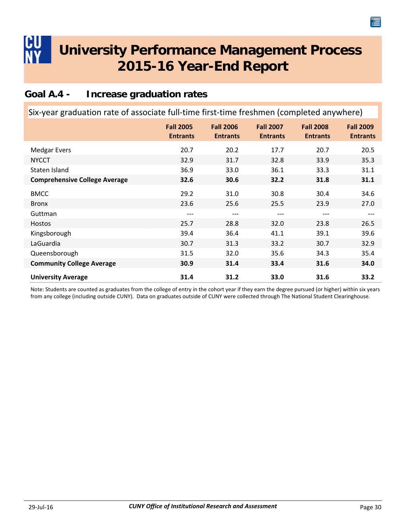### <span id="page-32-0"></span>**Goal A.4 - Increase graduation rates**

| Six-year graduation rate of associate full-time first-time freshmen (completed anywhere) |                                     |                                     |                                     |                                     |                                     |  |
|------------------------------------------------------------------------------------------|-------------------------------------|-------------------------------------|-------------------------------------|-------------------------------------|-------------------------------------|--|
|                                                                                          | <b>Fall 2005</b><br><b>Entrants</b> | <b>Fall 2006</b><br><b>Entrants</b> | <b>Fall 2007</b><br><b>Entrants</b> | <b>Fall 2008</b><br><b>Entrants</b> | <b>Fall 2009</b><br><b>Entrants</b> |  |
| <b>Medgar Evers</b>                                                                      | 20.7                                | 20.2                                | 17.7                                | 20.7                                | 20.5                                |  |
| <b>NYCCT</b>                                                                             | 32.9                                | 31.7                                | 32.8                                | 33.9                                | 35.3                                |  |
| Staten Island                                                                            | 36.9                                | 33.0                                | 36.1                                | 33.3                                | 31.1                                |  |
| <b>Comprehensive College Average</b>                                                     | 32.6                                | 30.6                                | 32.2                                | 31.8                                | 31.1                                |  |
| <b>BMCC</b>                                                                              | 29.2                                | 31.0                                | 30.8                                | 30.4                                | 34.6                                |  |
| <b>Bronx</b>                                                                             | 23.6                                | 25.6                                | 25.5                                | 23.9                                | 27.0                                |  |
| Guttman                                                                                  | ---                                 | ---                                 | ---                                 |                                     |                                     |  |
| Hostos                                                                                   | 25.7                                | 28.8                                | 32.0                                | 23.8                                | 26.5                                |  |
| Kingsborough                                                                             | 39.4                                | 36.4                                | 41.1                                | 39.1                                | 39.6                                |  |
| LaGuardia                                                                                | 30.7                                | 31.3                                | 33.2                                | 30.7                                | 32.9                                |  |
| Queensborough                                                                            | 31.5                                | 32.0                                | 35.6                                | 34.3                                | 35.4                                |  |
| <b>Community College Average</b>                                                         | 30.9                                | 31.4                                | 33.4                                | 31.6                                | 34.0                                |  |
| <b>University Average</b>                                                                | 31.4                                | 31.2                                | 33.0                                | 31.6                                | 33.2                                |  |

Note: Students are counted as graduates from the college of entry in the cohort year if they earn the degree pursued (or higher) within six years from any college (including outside CUNY). Data on graduates outside of CUNY were collected through The National Student Clearinghouse.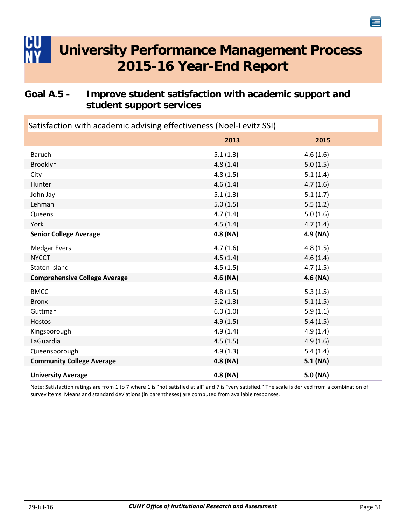### <span id="page-33-0"></span>**Goal A.5 - Improve student satisfaction with academic support and student support services**

| Satisfaction with academic advising effectiveness (Noel-Levitz SSI) |          |          |  |  |
|---------------------------------------------------------------------|----------|----------|--|--|
|                                                                     | 2013     | 2015     |  |  |
| <b>Baruch</b>                                                       | 5.1(1.3) | 4.6(1.6) |  |  |
| Brooklyn                                                            | 4.8(1.4) | 5.0(1.5) |  |  |
| City                                                                | 4.8(1.5) | 5.1(1.4) |  |  |
| Hunter                                                              | 4.6(1.4) | 4.7(1.6) |  |  |
| John Jay                                                            | 5.1(1.3) | 5.1(1.7) |  |  |
| Lehman                                                              | 5.0(1.5) | 5.5(1.2) |  |  |
| Queens                                                              | 4.7(1.4) | 5.0(1.6) |  |  |
| York                                                                | 4.5(1.4) | 4.7(1.4) |  |  |
| <b>Senior College Average</b>                                       | 4.8 (NA) | 4.9 (NA) |  |  |
| <b>Medgar Evers</b>                                                 | 4.7(1.6) | 4.8(1.5) |  |  |
| <b>NYCCT</b>                                                        | 4.5(1.4) | 4.6(1.4) |  |  |
| Staten Island                                                       | 4.5(1.5) | 4.7(1.5) |  |  |
| <b>Comprehensive College Average</b>                                | 4.6 (NA) | 4.6 (NA) |  |  |
| <b>BMCC</b>                                                         | 4.8(1.5) | 5.3(1.5) |  |  |
| <b>Bronx</b>                                                        | 5.2(1.3) | 5.1(1.5) |  |  |
| Guttman                                                             | 6.0(1.0) | 5.9(1.1) |  |  |
| Hostos                                                              | 4.9(1.5) | 5.4(1.5) |  |  |
| Kingsborough                                                        | 4.9(1.4) | 4.9(1.4) |  |  |
| LaGuardia                                                           | 4.5(1.5) | 4.9(1.6) |  |  |
| Queensborough                                                       | 4.9(1.3) | 5.4(1.4) |  |  |
| <b>Community College Average</b>                                    | 4.8 (NA) | 5.1(NA)  |  |  |
| <b>University Average</b>                                           | 4.8 (NA) | 5.0 (NA) |  |  |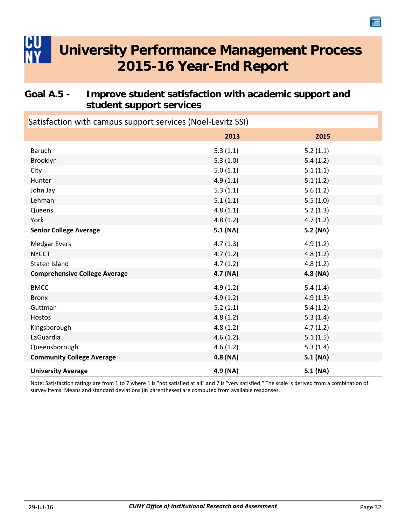### <span id="page-34-0"></span>**Goal A.5 - Improve student satisfaction with academic support and student support services**

| Satisfaction with campus support services (Noel-Levitz SSI) |          |            |  |  |
|-------------------------------------------------------------|----------|------------|--|--|
|                                                             | 2013     | 2015       |  |  |
| <b>Baruch</b>                                               | 5.3(1.1) | 5.2(1.1)   |  |  |
| Brooklyn                                                    | 5.3(1.0) | 5.4(1.2)   |  |  |
| City                                                        | 5.0(1.1) | 5.1(1.1)   |  |  |
| Hunter                                                      | 4.9(1.1) | 5.1(1.2)   |  |  |
| John Jay                                                    | 5.3(1.1) | 5.6(1.2)   |  |  |
| Lehman                                                      | 5.1(1.1) | 5.5(1.0)   |  |  |
| Queens                                                      | 4.8(1.1) | 5.2(1.3)   |  |  |
| York                                                        | 4.8(1.2) | 4.7(1.2)   |  |  |
| <b>Senior College Average</b>                               | 5.1 (NA) | 5.2 (NA)   |  |  |
| <b>Medgar Evers</b>                                         | 4.7(1.3) | 4.9(1.2)   |  |  |
| <b>NYCCT</b>                                                | 4.7(1.2) | 4.8(1.2)   |  |  |
| Staten Island                                               | 4.7(1.2) | 4.8(1.2)   |  |  |
| <b>Comprehensive College Average</b>                        | 4.7 (NA) | 4.8(NA)    |  |  |
| <b>BMCC</b>                                                 | 4.9(1.2) | 5.4(1.4)   |  |  |
| <b>Bronx</b>                                                | 4.9(1.2) | 4.9(1.3)   |  |  |
| Guttman                                                     | 5.2(1.1) | 5.4(1.2)   |  |  |
| Hostos                                                      | 4.8(1.2) | 5.3(1.4)   |  |  |
| Kingsborough                                                | 4.8(1.2) | 4.7(1.2)   |  |  |
| LaGuardia                                                   | 4.6(1.2) | 5.1(1.5)   |  |  |
| Queensborough                                               | 4.6(1.2) | 5.3(1.4)   |  |  |
| <b>Community College Average</b>                            | 4.8 (NA) | 5.1 (NA)   |  |  |
| <b>University Average</b>                                   | 4.9 (NA) | $5.1$ (NA) |  |  |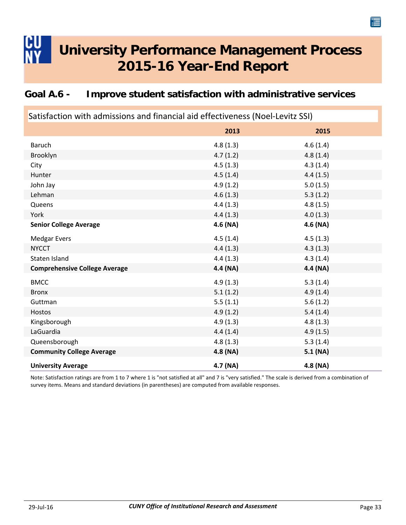### <span id="page-35-0"></span>**Goal A.6 - Improve student satisfaction with administrative services**

| Satisfaction with admissions and financial aid effectiveness (Noel-Levitz SSI) |          |          |  |  |  |
|--------------------------------------------------------------------------------|----------|----------|--|--|--|
|                                                                                | 2013     | 2015     |  |  |  |
| Baruch                                                                         | 4.8(1.3) | 4.6(1.4) |  |  |  |
| Brooklyn                                                                       | 4.7(1.2) | 4.8(1.4) |  |  |  |
| City                                                                           | 4.5(1.3) | 4.3(1.4) |  |  |  |
| Hunter                                                                         | 4.5(1.4) | 4.4(1.5) |  |  |  |
| John Jay                                                                       | 4.9(1.2) | 5.0(1.5) |  |  |  |
| Lehman                                                                         | 4.6(1.3) | 5.3(1.2) |  |  |  |
| Queens                                                                         | 4.4(1.3) | 4.8(1.5) |  |  |  |
| York                                                                           | 4.4(1.3) | 4.0(1.3) |  |  |  |
| <b>Senior College Average</b>                                                  | 4.6 (NA) | 4.6 (NA) |  |  |  |
| <b>Medgar Evers</b>                                                            | 4.5(1.4) | 4.5(1.3) |  |  |  |
| <b>NYCCT</b>                                                                   | 4.4(1.3) | 4.3(1.3) |  |  |  |
| Staten Island                                                                  | 4.4(1.3) | 4.3(1.4) |  |  |  |
| <b>Comprehensive College Average</b>                                           | 4.4 (NA) | 4.4 (NA) |  |  |  |
| <b>BMCC</b>                                                                    | 4.9(1.3) | 5.3(1.4) |  |  |  |
| <b>Bronx</b>                                                                   | 5.1(1.2) | 4.9(1.4) |  |  |  |
| Guttman                                                                        | 5.5(1.1) | 5.6(1.2) |  |  |  |
| Hostos                                                                         | 4.9(1.2) | 5.4(1.4) |  |  |  |
| Kingsborough                                                                   | 4.9(1.3) | 4.8(1.3) |  |  |  |
| LaGuardia                                                                      | 4.4(1.4) | 4.9(1.5) |  |  |  |
| Queensborough                                                                  | 4.8(1.3) | 5.3(1.4) |  |  |  |
| <b>Community College Average</b>                                               | 4.8 (NA) | 5.1 (NA) |  |  |  |
| <b>University Average</b>                                                      | 4.7 (NA) | 4.8(NA)  |  |  |  |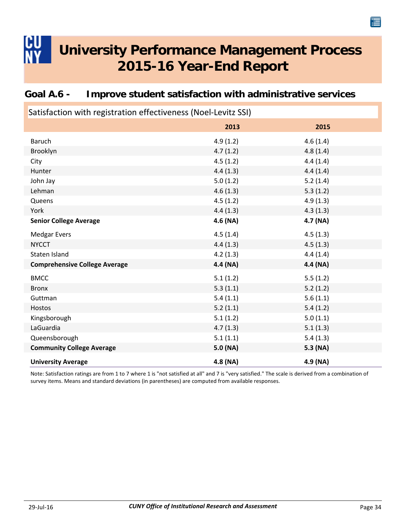| Satisfaction with registration effectiveness (Noel-Levitz SSI) |            |          |  |  |
|----------------------------------------------------------------|------------|----------|--|--|
|                                                                | 2013       | 2015     |  |  |
| Baruch                                                         | 4.9(1.2)   | 4.6(1.4) |  |  |
| Brooklyn                                                       | 4.7(1.2)   | 4.8(1.4) |  |  |
| City                                                           | 4.5(1.2)   | 4.4(1.4) |  |  |
| Hunter                                                         | 4.4(1.3)   | 4.4(1.4) |  |  |
| John Jay                                                       | 5.0(1.2)   | 5.2(1.4) |  |  |
| Lehman                                                         | 4.6(1.3)   | 5.3(1.2) |  |  |
| Queens                                                         | 4.5(1.2)   | 4.9(1.3) |  |  |
| York                                                           | 4.4(1.3)   | 4.3(1.3) |  |  |
| <b>Senior College Average</b>                                  | $4.6$ (NA) | 4.7(NA)  |  |  |
| <b>Medgar Evers</b>                                            | 4.5(1.4)   | 4.5(1.3) |  |  |
| <b>NYCCT</b>                                                   | 4.4(1.3)   | 4.5(1.3) |  |  |
| Staten Island                                                  | 4.2(1.3)   | 4.4(1.4) |  |  |
| <b>Comprehensive College Average</b>                           | 4.4 (NA)   | 4.4 (NA) |  |  |
| <b>BMCC</b>                                                    | 5.1(1.2)   | 5.5(1.2) |  |  |
| <b>Bronx</b>                                                   | 5.3(1.1)   | 5.2(1.2) |  |  |
| Guttman                                                        | 5.4(1.1)   | 5.6(1.1) |  |  |
| Hostos                                                         | 5.2(1.1)   | 5.4(1.2) |  |  |
| Kingsborough                                                   | 5.1(1.2)   | 5.0(1.1) |  |  |
| LaGuardia                                                      | 4.7(1.3)   | 5.1(1.3) |  |  |
| Queensborough                                                  | 5.1(1.1)   | 5.4(1.3) |  |  |
| <b>Community College Average</b>                               | 5.0 (NA)   | 5.3 (NA) |  |  |
| <b>University Average</b>                                      | 4.8 (NA)   | 4.9 (NA) |  |  |

### <span id="page-36-0"></span>**Goal A.6 - Improve student satisfaction with administrative services**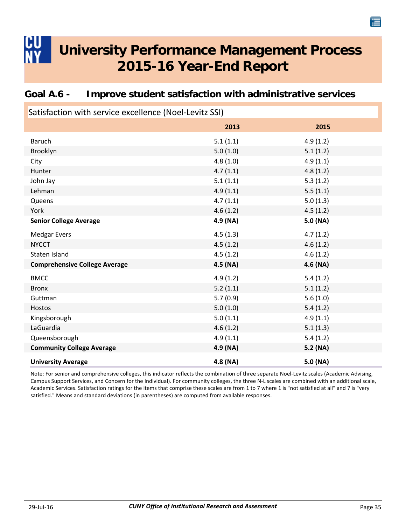### <span id="page-37-0"></span>**Goal A.6 - Improve student satisfaction with administrative services**

| Satisfaction with service excellence (Noel-Levitz SSI) |          |          |  |  |
|--------------------------------------------------------|----------|----------|--|--|
|                                                        | 2013     | 2015     |  |  |
| Baruch                                                 | 5.1(1.1) | 4.9(1.2) |  |  |
| Brooklyn                                               | 5.0(1.0) | 5.1(1.2) |  |  |
| City                                                   | 4.8(1.0) | 4.9(1.1) |  |  |
| Hunter                                                 | 4.7(1.1) | 4.8(1.2) |  |  |
| John Jay                                               | 5.1(1.1) | 5.3(1.2) |  |  |
| Lehman                                                 | 4.9(1.1) | 5.5(1.1) |  |  |
| Queens                                                 | 4.7(1.1) | 5.0(1.3) |  |  |
| York                                                   | 4.6(1.2) | 4.5(1.2) |  |  |
| <b>Senior College Average</b>                          | 4.9 (NA) | 5.0 (NA) |  |  |
| <b>Medgar Evers</b>                                    | 4.5(1.3) | 4.7(1.2) |  |  |
| <b>NYCCT</b>                                           | 4.5(1.2) | 4.6(1.2) |  |  |
| Staten Island                                          | 4.5(1.2) | 4.6(1.2) |  |  |
| <b>Comprehensive College Average</b>                   | 4.5 (NA) | 4.6 (NA) |  |  |
| <b>BMCC</b>                                            | 4.9(1.2) | 5.4(1.2) |  |  |
| <b>Bronx</b>                                           | 5.2(1.1) | 5.1(1.2) |  |  |
| Guttman                                                | 5.7(0.9) | 5.6(1.0) |  |  |
| Hostos                                                 | 5.0(1.0) | 5.4(1.2) |  |  |
| Kingsborough                                           | 5.0(1.1) | 4.9(1.1) |  |  |
| LaGuardia                                              | 4.6(1.2) | 5.1(1.3) |  |  |
| Queensborough                                          | 4.9(1.1) | 5.4(1.2) |  |  |
| <b>Community College Average</b>                       | 4.9 (NA) | 5.2 (NA) |  |  |
| <b>University Average</b>                              | 4.8 (NA) | 5.0 (NA) |  |  |

Note: For senior and comprehensive colleges, this indicator reflects the combination of three separate Noel‐Levitz scales (Academic Advising, Campus Support Services, and Concern for the Individual). For community colleges, the three N‐L scales are combined with an additional scale, Academic Services. Satisfaction ratings for the items that comprise these scales are from 1 to 7 where 1 is "not satisfied at all" and 7 is "very satisfied." Means and standard deviations (in parentheses) are computed from available responses.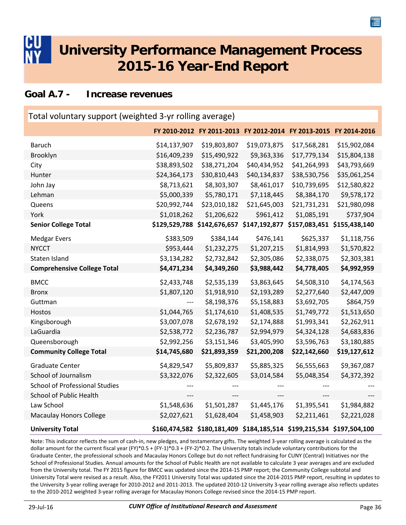#### <span id="page-38-0"></span>**Goal A.7 - Increase revenues**

| Total voluntary support (weighted 3-yr rolling average) |               |                                                                       |                                                         |              |              |  |
|---------------------------------------------------------|---------------|-----------------------------------------------------------------------|---------------------------------------------------------|--------------|--------------|--|
|                                                         |               | FY 2010-2012 FY 2011-2013 FY 2012-2014 FY 2013-2015 FY 2014-2016      |                                                         |              |              |  |
| <b>Baruch</b>                                           | \$14,137,907  | \$19,803,807                                                          | \$19,073,875                                            | \$17,568,281 | \$15,902,084 |  |
| Brooklyn                                                | \$16,409,239  | \$15,490,922                                                          | \$9,363,336                                             | \$17,779,134 | \$15,804,138 |  |
| City                                                    | \$38,893,502  | \$38,271,204                                                          | \$40,434,952                                            | \$41,264,993 | \$43,793,669 |  |
| Hunter                                                  | \$24,364,173  | \$30,810,443                                                          | \$40,134,837                                            | \$38,530,756 | \$35,061,254 |  |
| John Jay                                                | \$8,713,621   | \$8,303,307                                                           | \$8,461,017                                             | \$10,739,695 | \$12,580,822 |  |
| Lehman                                                  | \$5,000,339   | \$5,780,171                                                           | \$7,118,445                                             | \$8,384,170  | \$9,578,172  |  |
| Queens                                                  | \$20,992,744  | \$23,010,182                                                          | \$21,645,003                                            | \$21,731,231 | \$21,980,098 |  |
| York                                                    | \$1,018,262   | \$1,206,622                                                           | \$961,412                                               | \$1,085,191  | \$737,904    |  |
| <b>Senior College Total</b>                             | \$129,529,788 |                                                                       | \$142,676,657 \$147,192,877 \$157,083,451 \$155,438,140 |              |              |  |
| <b>Medgar Evers</b>                                     | \$383,509     | \$384,144                                                             | \$476,141                                               | \$625,337    | \$1,118,756  |  |
| <b>NYCCT</b>                                            | \$953,444     | \$1,232,275                                                           | \$1,207,215                                             | \$1,814,993  | \$1,570,822  |  |
| Staten Island                                           | \$3,134,282   | \$2,732,842                                                           | \$2,305,086                                             | \$2,338,075  | \$2,303,381  |  |
| <b>Comprehensive College Total</b>                      | \$4,471,234   | \$4,349,260                                                           | \$3,988,442                                             | \$4,778,405  | \$4,992,959  |  |
| <b>BMCC</b>                                             | \$2,433,748   | \$2,535,139                                                           | \$3,863,645                                             | \$4,508,310  | \$4,174,563  |  |
| <b>Bronx</b>                                            | \$1,807,120   | \$1,918,910                                                           | \$2,193,289                                             | \$2,277,640  | \$2,447,009  |  |
| Guttman                                                 | ---           | \$8,198,376                                                           | \$5,158,883                                             | \$3,692,705  | \$864,759    |  |
| Hostos                                                  | \$1,044,765   | \$1,174,610                                                           | \$1,408,535                                             | \$1,749,772  | \$1,513,650  |  |
| Kingsborough                                            | \$3,007,078   | \$2,678,192                                                           | \$2,174,888                                             | \$1,993,341  | \$2,262,911  |  |
| LaGuardia                                               | \$2,538,772   | \$2,236,787                                                           | \$2,994,979                                             | \$4,324,128  | \$4,683,836  |  |
| Queensborough                                           | \$2,992,256   | \$3,151,346                                                           | \$3,405,990                                             | \$3,596,763  | \$3,180,885  |  |
| <b>Community College Total</b>                          | \$14,745,680  | \$21,893,359                                                          | \$21,200,208                                            | \$22,142,660 | \$19,127,612 |  |
| <b>Graduate Center</b>                                  | \$4,829,547   | \$5,809,837                                                           | \$5,885,325                                             | \$6,555,663  | \$9,367,087  |  |
| School of Journalism                                    | \$3,322,076   | \$2,322,605                                                           | \$3,014,584                                             | \$5,048,354  | \$4,372,392  |  |
| <b>School of Professional Studies</b>                   |               |                                                                       |                                                         |              |              |  |
| School of Public Health                                 | ---           | ---                                                                   | ---                                                     | ---          |              |  |
| Law School                                              | \$1,548,636   | \$1,501,287                                                           | \$1,445,176                                             | \$1,395,541  | \$1,984,882  |  |
| <b>Macaulay Honors College</b>                          | \$2,027,621   | \$1,628,404                                                           | \$1,458,903                                             | \$2,211,461  | \$2,221,028  |  |
| <b>University Total</b>                                 |               | \$160,474,582 \$180,181,409 \$184,185,514 \$199,215,534 \$197,504,100 |                                                         |              |              |  |

Note: This indicator reflects the sum of cash‐in, new pledges, and testamentary gifts. The weighted 3‐year rolling average is calculated as the dollar amount for the current fiscal year (FY)\*0.5 + (FY‐1)\*0.3 + (FY‐2)\*0.2. The University totals include voluntary contributions for the Graduate Center, the professional schools and Macaulay Honors College but do not reflect fundraising for CUNY (Central) Initiatives nor the School of Professional Studies. Annual amounts for the School of Public Health are not available to calculate 3 year averages and are excluded from the University total. The FY 2015 figure for BMCC was updated since the 2014‐15 PMP report; the Community College subtotal and University Total were revised as a result. Also, the FY2011 University Total was updated since the 2014‐2015 PMP report, resulting in updates to the University 3‐year rolling average for 2010‐2012 and 2011‐2013. The updated 2010‐12 University 3‐year rolling average also reflects updates to the 2010-2012 weighted 3-year rolling average for Macaulay Honors College revised since the 2014-15 PMP report.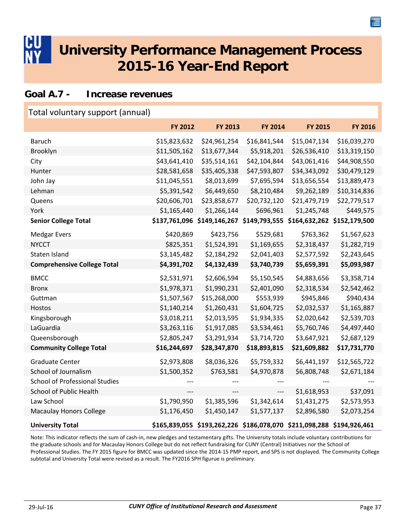<span id="page-39-0"></span>

#### **Goal A.7 - Increase revenues**

| Total voluntary support (annual)      |                |                                                                       |                |                |                |
|---------------------------------------|----------------|-----------------------------------------------------------------------|----------------|----------------|----------------|
|                                       | <b>FY 2012</b> | <b>FY 2013</b>                                                        | <b>FY 2014</b> | <b>FY 2015</b> | <b>FY 2016</b> |
| <b>Baruch</b>                         | \$15,823,632   | \$24,961,254                                                          | \$16,841,544   | \$15,047,134   | \$16,039,270   |
| Brooklyn                              | \$11,505,162   | \$13,677,344                                                          | \$5,918,201    | \$26,536,410   | \$13,319,150   |
| City                                  | \$43,641,410   | \$35,514,161                                                          | \$42,104,844   | \$43,061,416   | \$44,908,550   |
| Hunter                                | \$28,581,658   | \$35,405,338                                                          | \$47,593,807   | \$34,343,092   | \$30,479,129   |
| John Jay                              | \$11,045,551   | \$8,013,699                                                           | \$7,695,594    | \$13,656,554   | \$13,889,473   |
| Lehman                                | \$5,391,542    | \$6,449,650                                                           | \$8,210,484    | \$9,262,189    | \$10,314,836   |
| Queens                                | \$20,606,701   | \$23,858,677                                                          | \$20,732,120   | \$21,479,719   | \$22,779,517   |
| York                                  | \$1,165,440    | \$1,266,144                                                           | \$696,961      | \$1,245,748    | \$449,575      |
| <b>Senior College Total</b>           |                | \$137,761,096 \$149,146,267 \$149,793,555                             |                | \$164,632,262  | \$152,179,500  |
| <b>Medgar Evers</b>                   | \$420,869      | \$423,756                                                             | \$529,681      | \$763,362      | \$1,567,623    |
| <b>NYCCT</b>                          | \$825,351      | \$1,524,391                                                           | \$1,169,655    | \$2,318,437    | \$1,282,719    |
| Staten Island                         | \$3,145,482    | \$2,184,292                                                           | \$2,041,403    | \$2,577,592    | \$2,243,645    |
| <b>Comprehensive College Total</b>    | \$4,391,702    | \$4,132,439                                                           | \$3,740,739    | \$5,659,391    | \$5,093,987    |
| <b>BMCC</b>                           | \$2,531,971    | \$2,606,594                                                           | \$5,150,545    | \$4,883,656    | \$3,358,714    |
| <b>Bronx</b>                          | \$1,978,371    | \$1,990,231                                                           | \$2,401,090    | \$2,318,534    | \$2,542,462    |
| Guttman                               | \$1,507,567    | \$15,268,000                                                          | \$553,939      | \$945,846      | \$940,434      |
| Hostos                                | \$1,140,214    | \$1,260,431                                                           | \$1,604,725    | \$2,032,537    | \$1,165,887    |
| Kingsborough                          | \$3,018,211    | \$2,013,595                                                           | \$1,934,335    | \$2,020,642    | \$2,539,703    |
| LaGuardia                             | \$3,263,116    | \$1,917,085                                                           | \$3,534,461    | \$5,760,746    | \$4,497,440    |
| Queensborough                         | \$2,805,247    | \$3,291,934                                                           | \$3,714,720    | \$3,647,921    | \$2,687,129    |
| <b>Community College Total</b>        | \$16,244,697   | \$28,347,870                                                          | \$18,893,815   | \$21,609,882   | \$17,731,770   |
| <b>Graduate Center</b>                | \$2,973,808    | \$8,036,326                                                           | \$5,759,332    | \$6,441,197    | \$12,565,722   |
| School of Journalism                  | \$1,500,352    | \$763,581                                                             | \$4,970,878    | \$6,808,748    | \$2,671,184    |
| <b>School of Professional Studies</b> |                |                                                                       |                |                |                |
| School of Public Health               |                | ---                                                                   | ---            | \$1,618,953    | \$37,091       |
| Law School                            | \$1,790,950    | \$1,385,596                                                           | \$1,342,614    | \$1,431,275    | \$2,573,953    |
| <b>Macaulay Honors College</b>        | \$1,176,450    | \$1,450,147                                                           | \$1,577,137    | \$2,896,580    | \$2,073,254    |
| <b>University Total</b>               |                | \$165,839,055 \$193,262,226 \$186,078,070 \$211,098,288 \$194,926,461 |                |                |                |

Note: This indicator reflects the sum of cash‐in, new pledges and testamentary gifts. The University totals include voluntary contributions for the graduate schools and for Macaulay Honors College but do not reflect fundraising for CUNY (Central) Initiatives nor the School of Professional Studies. The FY 2015 figure for BMCC was updated since the 2014‐15 PMP report, and SPS is not displayed. The Community College subtotal and University Total were revised as a result. The FY2016 SPH figurue is preliminary.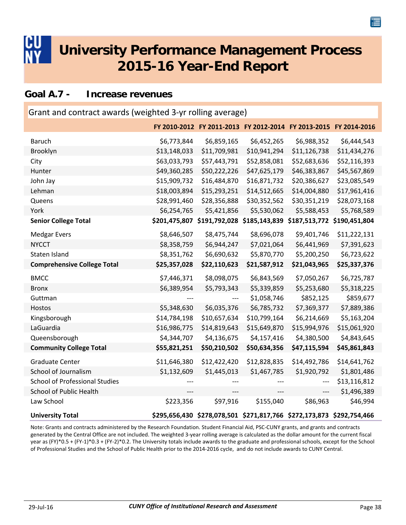<span id="page-40-0"></span>

#### **Goal A.7 - Increase revenues**

| Grant and contract awards (weighted 3-yr rolling average) |              |                                                                       |              |                             |              |  |  |
|-----------------------------------------------------------|--------------|-----------------------------------------------------------------------|--------------|-----------------------------|--------------|--|--|
|                                                           |              | FY 2010-2012 FY 2011-2013 FY 2012-2014 FY 2013-2015 FY 2014-2016      |              |                             |              |  |  |
| <b>Baruch</b>                                             | \$6,773,844  | \$6,859,165                                                           | \$6,452,265  | \$6,988,352                 | \$6,444,543  |  |  |
| Brooklyn                                                  | \$13,148,033 | \$11,709,981                                                          | \$10,941,294 | \$11,126,738                | \$11,434,276 |  |  |
| City                                                      | \$63,033,793 | \$57,443,791                                                          | \$52,858,081 | \$52,683,636                | \$52,116,393 |  |  |
| Hunter                                                    | \$49,360,285 | \$50,222,226                                                          | \$47,625,179 | \$46,383,867                | \$45,567,869 |  |  |
| John Jay                                                  | \$15,909,732 | \$16,484,870                                                          | \$16,871,732 | \$20,386,627                | \$23,085,549 |  |  |
| Lehman                                                    | \$18,003,894 | \$15,293,251                                                          | \$14,512,665 | \$14,004,880                | \$17,961,416 |  |  |
| Queens                                                    | \$28,991,460 | \$28,356,888                                                          | \$30,352,562 | \$30,351,219                | \$28,073,168 |  |  |
| York                                                      | \$6,254,765  | \$5,421,856                                                           | \$5,530,062  | \$5,588,453                 | \$5,768,589  |  |  |
| <b>Senior College Total</b>                               |              | \$201,475,807 \$191,792,028 \$185,143,839                             |              | \$187,513,772 \$190,451,804 |              |  |  |
| <b>Medgar Evers</b>                                       | \$8,646,507  | \$8,475,744                                                           | \$8,696,078  | \$9,401,746                 | \$11,222,131 |  |  |
| <b>NYCCT</b>                                              | \$8,358,759  | \$6,944,247                                                           | \$7,021,064  | \$6,441,969                 | \$7,391,623  |  |  |
| Staten Island                                             | \$8,351,762  | \$6,690,632                                                           | \$5,870,770  | \$5,200,250                 | \$6,723,622  |  |  |
| <b>Comprehensive College Total</b>                        | \$25,357,028 | \$22,110,623                                                          | \$21,587,912 | \$21,043,965                | \$25,337,376 |  |  |
| <b>BMCC</b>                                               | \$7,446,371  | \$8,098,075                                                           | \$6,843,569  | \$7,050,267                 | \$6,725,787  |  |  |
| <b>Bronx</b>                                              | \$6,389,954  | \$5,793,343                                                           | \$5,339,859  | \$5,253,680                 | \$5,318,225  |  |  |
| Guttman                                                   |              | ---                                                                   | \$1,058,746  | \$852,125                   | \$859,677    |  |  |
| Hostos                                                    | \$5,348,630  | \$6,035,376                                                           | \$6,785,732  | \$7,369,377                 | \$7,889,386  |  |  |
| Kingsborough                                              | \$14,784,198 | \$10,657,634                                                          | \$10,799,164 | \$6,214,669                 | \$5,163,204  |  |  |
| LaGuardia                                                 | \$16,986,775 | \$14,819,643                                                          | \$15,649,870 | \$15,994,976                | \$15,061,920 |  |  |
| Queensborough                                             | \$4,344,707  | \$4,136,675                                                           | \$4,157,416  | \$4,380,500                 | \$4,843,645  |  |  |
| <b>Community College Total</b>                            | \$55,821,251 | \$50,210,502                                                          | \$50,634,356 | \$47,115,594                | \$45,861,843 |  |  |
| <b>Graduate Center</b>                                    | \$11,646,380 | \$12,422,420                                                          | \$12,828,835 | \$14,492,786                | \$14,641,762 |  |  |
| School of Journalism                                      | \$1,132,609  | \$1,445,013                                                           | \$1,467,785  | \$1,920,792                 | \$1,801,486  |  |  |
| <b>School of Professional Studies</b>                     |              |                                                                       |              | $---$                       | \$13,116,812 |  |  |
| School of Public Health                                   | ---          | ---                                                                   | ---          | ---                         | \$1,496,389  |  |  |
| Law School                                                | \$223,356    | \$97,916                                                              | \$155,040    | \$86,963                    | \$46,994     |  |  |
| <b>University Total</b>                                   |              | \$295,656,430 \$278,078,501 \$271,817,766 \$272,173,873 \$292,754,466 |              |                             |              |  |  |

Note: Grants and contracts administered by the Research Foundation. Student Financial Aid, PSC‐CUNY grants, and grants and contracts generated by the Central Office are not included. The weighted 3‐year rolling average is calculated as the dollar amount for the current fiscal year as (FY)\*0.5 + (FY‐1)\*0.3 + (FY‐2)\*0.2. The University totals include awards to the graduate and professional schools, except for the School of Professional Studies and the School of Public Health prior to the 2014‐2016 cycle, and do not include awards to CUNY Central.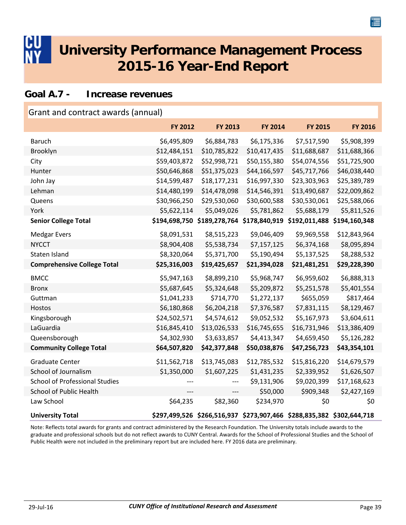<span id="page-41-0"></span>

#### **Goal A.7 - Increase revenues**

| Grant and contract awards (annual)    |                |                                                                       |                             |               |                |  |  |
|---------------------------------------|----------------|-----------------------------------------------------------------------|-----------------------------|---------------|----------------|--|--|
|                                       | <b>FY 2012</b> | <b>FY 2013</b>                                                        | <b>FY 2014</b>              | FY 2015       | <b>FY 2016</b> |  |  |
| <b>Baruch</b>                         | \$6,495,809    | \$6,884,783                                                           | \$6,175,336                 | \$7,517,590   | \$5,908,399    |  |  |
| Brooklyn                              | \$12,484,151   | \$10,785,822                                                          | \$10,417,435                | \$11,688,687  | \$11,688,366   |  |  |
| City                                  | \$59,403,872   | \$52,998,721                                                          | \$50,155,380                | \$54,074,556  | \$51,725,900   |  |  |
| Hunter                                | \$50,646,868   | \$51,375,023                                                          | \$44,166,597                | \$45,717,766  | \$46,038,440   |  |  |
| John Jay                              | \$14,599,487   | \$18,177,231                                                          | \$16,997,330                | \$23,303,963  | \$25,389,789   |  |  |
| Lehman                                | \$14,480,199   | \$14,478,098                                                          | \$14,546,391                | \$13,490,687  | \$22,009,862   |  |  |
| Queens                                | \$30,966,250   | \$29,530,060                                                          | \$30,600,588                | \$30,530,061  | \$25,588,066   |  |  |
| York                                  | \$5,622,114    | \$5,049,026                                                           | \$5,781,862                 | \$5,688,179   | \$5,811,526    |  |  |
| <b>Senior College Total</b>           | \$194,698,750  |                                                                       | \$189,278,764 \$178,840,919 | \$192,011,488 | \$194,160,348  |  |  |
| <b>Medgar Evers</b>                   | \$8,091,531    | \$8,515,223                                                           | \$9,046,409                 | \$9,969,558   | \$12,843,964   |  |  |
| <b>NYCCT</b>                          | \$8,904,408    | \$5,538,734                                                           | \$7,157,125                 | \$6,374,168   | \$8,095,894    |  |  |
| Staten Island                         | \$8,320,064    | \$5,371,700                                                           | \$5,190,494                 | \$5,137,525   | \$8,288,532    |  |  |
| <b>Comprehensive College Total</b>    | \$25,316,003   | \$19,425,657                                                          | \$21,394,028                | \$21,481,251  | \$29,228,390   |  |  |
| <b>BMCC</b>                           | \$5,947,163    | \$8,899,210                                                           | \$5,968,747                 | \$6,959,602   | \$6,888,313    |  |  |
| <b>Bronx</b>                          | \$5,687,645    | \$5,324,648                                                           | \$5,209,872                 | \$5,251,578   | \$5,401,554    |  |  |
| Guttman                               | \$1,041,233    | \$714,770                                                             | \$1,272,137                 | \$655,059     | \$817,464      |  |  |
| Hostos                                | \$6,180,868    | \$6,204,218                                                           | \$7,376,587                 | \$7,831,115   | \$8,129,467    |  |  |
| Kingsborough                          | \$24,502,571   | \$4,574,612                                                           | \$9,052,532                 | \$5,167,973   | \$3,604,611    |  |  |
| LaGuardia                             | \$16,845,410   | \$13,026,533                                                          | \$16,745,655                | \$16,731,946  | \$13,386,409   |  |  |
| Queensborough                         | \$4,302,930    | \$3,633,857                                                           | \$4,413,347                 | \$4,659,450   | \$5,126,282    |  |  |
| <b>Community College Total</b>        | \$64,507,820   | \$42,377,848                                                          | \$50,038,876                | \$47,256,723  | \$43,354,101   |  |  |
| <b>Graduate Center</b>                | \$11,562,718   | \$13,745,083                                                          | \$12,785,532                | \$15,816,220  | \$14,679,579   |  |  |
| School of Journalism                  | \$1,350,000    | \$1,607,225                                                           | \$1,431,235                 | \$2,339,952   | \$1,626,507    |  |  |
| <b>School of Professional Studies</b> |                |                                                                       | \$9,131,906                 | \$9,020,399   | \$17,168,623   |  |  |
| School of Public Health               | ---            | ---                                                                   | \$50,000                    | \$909,348     | \$2,427,169    |  |  |
| Law School                            | \$64,235       | \$82,360                                                              | \$234,970                   | \$0           | \$0            |  |  |
| <b>University Total</b>               |                | \$297,499,526 \$266,516,937 \$273,907,466 \$288,835,382 \$302,644,718 |                             |               |                |  |  |

Note: Reflects total awards for grants and contract administered by the Research Foundation. The University totals include awards to the graduate and professional schools but do not reflect awards to CUNY Central. Awards for the School of Professional Studies and the School of Public Health were not included in the preliminary report but are included here. FY 2016 data are preliminary.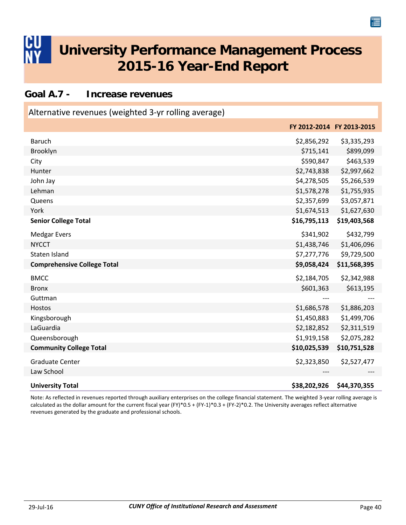#### <span id="page-42-0"></span>**Goal A.7 - Increase revenues**

| Alternative revenues (weighted 3-yr rolling average) |              |                           |
|------------------------------------------------------|--------------|---------------------------|
|                                                      |              | FY 2012-2014 FY 2013-2015 |
| <b>Baruch</b>                                        | \$2,856,292  | \$3,335,293               |
| Brooklyn                                             | \$715,141    | \$899,099                 |
| City                                                 | \$590,847    | \$463,539                 |
| Hunter                                               | \$2,743,838  | \$2,997,662               |
| John Jay                                             | \$4,278,505  | \$5,266,539               |
| Lehman                                               | \$1,578,278  | \$1,755,935               |
| Queens                                               | \$2,357,699  | \$3,057,871               |
| York                                                 | \$1,674,513  | \$1,627,630               |
| <b>Senior College Total</b>                          | \$16,795,113 | \$19,403,568              |
| <b>Medgar Evers</b>                                  | \$341,902    | \$432,799                 |
| <b>NYCCT</b>                                         | \$1,438,746  | \$1,406,096               |
| Staten Island                                        | \$7,277,776  | \$9,729,500               |
| <b>Comprehensive College Total</b>                   | \$9,058,424  | \$11,568,395              |
| <b>BMCC</b>                                          | \$2,184,705  | \$2,342,988               |
| <b>Bronx</b>                                         | \$601,363    | \$613,195                 |
| Guttman                                              |              |                           |
| Hostos                                               | \$1,686,578  | \$1,886,203               |
| Kingsborough                                         | \$1,450,883  | \$1,499,706               |
| LaGuardia                                            | \$2,182,852  | \$2,311,519               |
| Queensborough                                        | \$1,919,158  | \$2,075,282               |
| <b>Community College Total</b>                       | \$10,025,539 | \$10,751,528              |
| <b>Graduate Center</b>                               | \$2,323,850  | \$2,527,477               |
| Law School                                           |              |                           |
| <b>University Total</b>                              | \$38,202,926 | \$44,370,355              |

Note: As reflected in revenues reported through auxiliary enterprises on the college financial statement. The weighted 3‐year rolling average is calculated as the dollar amount for the current fiscal year (FY)\*0.5 + (FY‐1)\*0.3 + (FY‐2)\*0.2. The University averages reflect alternative revenues generated by the graduate and professional schools.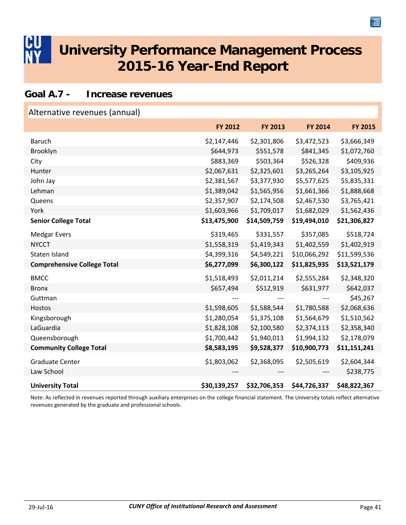#### <span id="page-43-0"></span>**Goal A.7 - Increase revenues**

| Alternative revenues (annual)      |              |              |              |              |
|------------------------------------|--------------|--------------|--------------|--------------|
|                                    | FY 2012      | FY 2013      | FY 2014      | FY 2015      |
| <b>Baruch</b>                      | \$2,147,446  | \$2,301,806  | \$3,472,523  | \$3,666,349  |
| Brooklyn                           | \$644,973    | \$551,578    | \$841,345    | \$1,072,760  |
| City                               | \$883,369    | \$503,364    | \$526,328    | \$409,936    |
| Hunter                             | \$2,067,631  | \$2,325,601  | \$3,265,264  | \$3,105,925  |
| John Jay                           | \$2,381,567  | \$3,377,930  | \$5,577,625  | \$5,835,331  |
| Lehman                             | \$1,389,042  | \$1,565,956  | \$1,661,366  | \$1,888,668  |
| Queens                             | \$2,357,907  | \$2,174,508  | \$2,467,530  | \$3,765,421  |
| York                               | \$1,603,966  | \$1,709,017  | \$1,682,029  | \$1,562,436  |
| <b>Senior College Total</b>        | \$13,475,900 | \$14,509,759 | \$19,494,010 | \$21,306,827 |
| <b>Medgar Evers</b>                | \$319,465    | \$331,557    | \$357,085    | \$518,724    |
| <b>NYCCT</b>                       | \$1,558,319  | \$1,419,343  | \$1,402,559  | \$1,402,919  |
| Staten Island                      | \$4,399,316  | \$4,549,221  | \$10,066,292 | \$11,599,536 |
| <b>Comprehensive College Total</b> | \$6,277,099  | \$6,300,122  | \$11,825,935 | \$13,521,179 |
| <b>BMCC</b>                        | \$1,518,493  | \$2,011,214  | \$2,555,284  | \$2,348,320  |
| <b>Bronx</b>                       | \$657,494    | \$512,919    | \$631,977    | \$642,037    |
| Guttman                            |              |              |              | \$45,267     |
| Hostos                             | \$1,598,605  | \$1,588,544  | \$1,780,588  | \$2,068,636  |
| Kingsborough                       | \$1,280,054  | \$1,375,108  | \$1,564,679  | \$1,510,562  |
| LaGuardia                          | \$1,828,108  | \$2,100,580  | \$2,374,113  | \$2,358,340  |
| Queensborough                      | \$1,700,442  | \$1,940,013  | \$1,994,132  | \$2,178,079  |
| <b>Community College Total</b>     | \$8,583,195  | \$9,528,377  | \$10,900,773 | \$11,151,241 |
| <b>Graduate Center</b>             | \$1,803,062  | \$2,368,095  | \$2,505,619  | \$2,604,344  |
| Law School                         |              |              |              | \$238,775    |
| <b>University Total</b>            | \$30,139,257 | \$32,706,353 | \$44,726,337 | \$48,822,367 |

Note: As reflected in revenues reported through auxiliary enterprises on the college financial statement. The University totals reflect alternative revenues generated by the graduate and professional schools.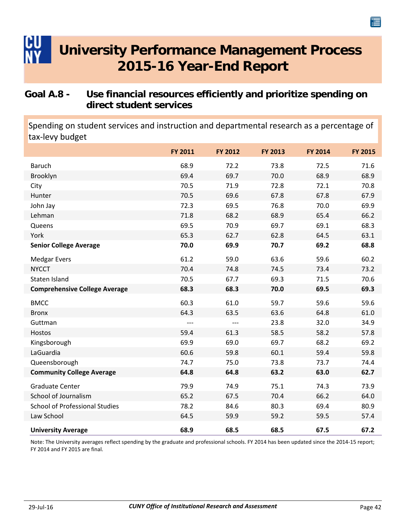### <span id="page-44-0"></span>**Goal A.8 - Use financial resources efficiently and prioritize spending on direct student services**

Spending on student services and instruction and departmental research as a percentage of tax‐levy budget

|                                       | <b>FY 2011</b> | FY 2012 | <b>FY 2013</b> | FY 2014 | <b>FY 2015</b> |
|---------------------------------------|----------------|---------|----------------|---------|----------------|
| <b>Baruch</b>                         | 68.9           | 72.2    | 73.8           | 72.5    | 71.6           |
| Brooklyn                              | 69.4           | 69.7    | 70.0           | 68.9    | 68.9           |
| City                                  | 70.5           | 71.9    | 72.8           | 72.1    | 70.8           |
| Hunter                                | 70.5           | 69.6    | 67.8           | 67.8    | 67.9           |
| John Jay                              | 72.3           | 69.5    | 76.8           | 70.0    | 69.9           |
| Lehman                                | 71.8           | 68.2    | 68.9           | 65.4    | 66.2           |
| Queens                                | 69.5           | 70.9    | 69.7           | 69.1    | 68.3           |
| York                                  | 65.3           | 62.7    | 62.8           | 64.5    | 63.1           |
| <b>Senior College Average</b>         | 70.0           | 69.9    | 70.7           | 69.2    | 68.8           |
| <b>Medgar Evers</b>                   | 61.2           | 59.0    | 63.6           | 59.6    | 60.2           |
| <b>NYCCT</b>                          | 70.4           | 74.8    | 74.5           | 73.4    | 73.2           |
| Staten Island                         | 70.5           | 67.7    | 69.3           | 71.5    | 70.6           |
| <b>Comprehensive College Average</b>  | 68.3           | 68.3    | 70.0           | 69.5    | 69.3           |
| <b>BMCC</b>                           | 60.3           | 61.0    | 59.7           | 59.6    | 59.6           |
| <b>Bronx</b>                          | 64.3           | 63.5    | 63.6           | 64.8    | 61.0           |
| Guttman                               | ---            | $---$   | 23.8           | 32.0    | 34.9           |
| Hostos                                | 59.4           | 61.3    | 58.5           | 58.2    | 57.8           |
| Kingsborough                          | 69.9           | 69.0    | 69.7           | 68.2    | 69.2           |
| LaGuardia                             | 60.6           | 59.8    | 60.1           | 59.4    | 59.8           |
| Queensborough                         | 74.7           | 75.0    | 73.8           | 73.7    | 74.4           |
| <b>Community College Average</b>      | 64.8           | 64.8    | 63.2           | 63.0    | 62.7           |
| <b>Graduate Center</b>                | 79.9           | 74.9    | 75.1           | 74.3    | 73.9           |
| School of Journalism                  | 65.2           | 67.5    | 70.4           | 66.2    | 64.0           |
| <b>School of Professional Studies</b> | 78.2           | 84.6    | 80.3           | 69.4    | 80.9           |
| Law School                            | 64.5           | 59.9    | 59.2           | 59.5    | 57.4           |
| <b>University Average</b>             | 68.9           | 68.5    | 68.5           | 67.5    | 67.2           |

Note: The University averages reflect spending by the graduate and professional schools. FY 2014 has been updated since the 2014‐15 report; FY 2014 and FY 2015 are final.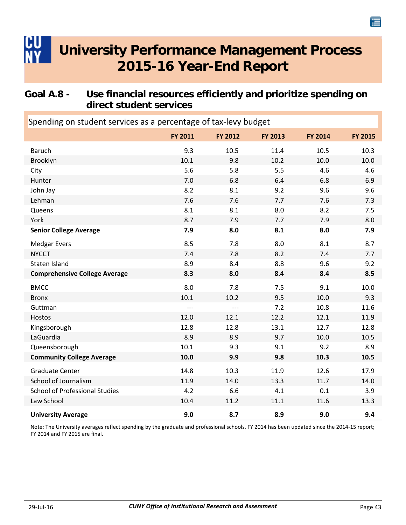### <span id="page-45-0"></span>**Goal A.8 - Use financial resources efficiently and prioritize spending on direct student services**

| Spending on student services as a percentage of tax-levy budget |         |         |         |                |         |  |  |
|-----------------------------------------------------------------|---------|---------|---------|----------------|---------|--|--|
|                                                                 | FY 2011 | FY 2012 | FY 2013 | <b>FY 2014</b> | FY 2015 |  |  |
| <b>Baruch</b>                                                   | 9.3     | 10.5    | 11.4    | 10.5           | 10.3    |  |  |
| Brooklyn                                                        | 10.1    | 9.8     | 10.2    | 10.0           | 10.0    |  |  |
| City                                                            | 5.6     | 5.8     | 5.5     | 4.6            | 4.6     |  |  |
| Hunter                                                          | 7.0     | 6.8     | 6.4     | 6.8            | 6.9     |  |  |
| John Jay                                                        | 8.2     | 8.1     | 9.2     | 9.6            | 9.6     |  |  |
| Lehman                                                          | 7.6     | 7.6     | 7.7     | 7.6            | 7.3     |  |  |
| Queens                                                          | 8.1     | 8.1     | 8.0     | 8.2            | 7.5     |  |  |
| York                                                            | 8.7     | 7.9     | 7.7     | 7.9            | 8.0     |  |  |
| <b>Senior College Average</b>                                   | 7.9     | 8.0     | 8.1     | 8.0            | 7.9     |  |  |
| <b>Medgar Evers</b>                                             | 8.5     | 7.8     | 8.0     | 8.1            | 8.7     |  |  |
| <b>NYCCT</b>                                                    | 7.4     | 7.8     | 8.2     | 7.4            | 7.7     |  |  |
| Staten Island                                                   | 8.9     | 8.4     | 8.8     | 9.6            | 9.2     |  |  |
| <b>Comprehensive College Average</b>                            | 8.3     | 8.0     | 8.4     | 8.4            | 8.5     |  |  |
| <b>BMCC</b>                                                     | 8.0     | 7.8     | 7.5     | 9.1            | 10.0    |  |  |
| <b>Bronx</b>                                                    | 10.1    | 10.2    | 9.5     | 10.0           | 9.3     |  |  |
| Guttman                                                         | ---     | $---$   | 7.2     | 10.8           | 11.6    |  |  |
| Hostos                                                          | 12.0    | 12.1    | 12.2    | 12.1           | 11.9    |  |  |
| Kingsborough                                                    | 12.8    | 12.8    | 13.1    | 12.7           | 12.8    |  |  |
| LaGuardia                                                       | 8.9     | 8.9     | 9.7     | 10.0           | 10.5    |  |  |
| Queensborough                                                   | 10.1    | 9.3     | 9.1     | 9.2            | 8.9     |  |  |
| <b>Community College Average</b>                                | 10.0    | 9.9     | 9.8     | 10.3           | 10.5    |  |  |
| <b>Graduate Center</b>                                          | 14.8    | 10.3    | 11.9    | 12.6           | 17.9    |  |  |
| School of Journalism                                            | 11.9    | 14.0    | 13.3    | 11.7           | 14.0    |  |  |
| <b>School of Professional Studies</b>                           | 4.2     | 6.6     | 4.1     | 0.1            | 3.9     |  |  |
| Law School                                                      | 10.4    | 11.2    | 11.1    | 11.6           | 13.3    |  |  |
| <b>University Average</b>                                       | 9.0     | 8.7     | 8.9     | 9.0            | 9.4     |  |  |

Note: The University averages reflect spending by the graduate and professional schools. FY 2014 has been updated since the 2014‐15 report; FY 2014 and FY 2015 are final.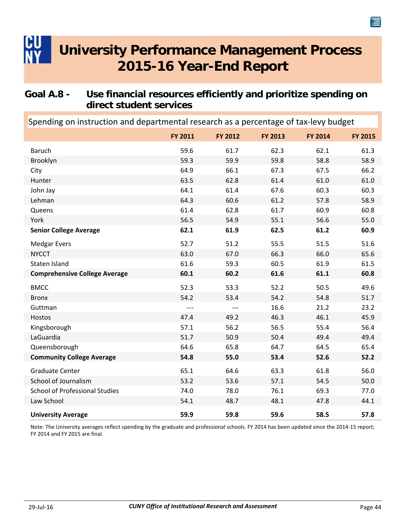### <span id="page-46-0"></span>**Goal A.8 - Use financial resources efficiently and prioritize spending on direct student services**

**FY 2011 FY FY 2012 FY 2013 FY 2014 2015** Spending on instruction and departmental research as a percentage of tax‐levy budget Baruch 59.6 61.7 62.3 62.1 61.3 Brooklyn 59.3 59.9 59.8 58.8 58.9 City 64.9 66.2 67.3 67.5 66.2 Hunter 63.5 62.8 61.4 61.0 61.0 John Jay 60.3 60.3 64.1 61.4 67.6 60.3 60.3 Lehman 64.3 60.6 61.2 57.8 58.9 Queens 61.4 62.8 61.7 60.9 60.8 York 56.5 54.9 55.1 56.6 55.0 **Senior College Average 62.1 61.9 62.5 61.2 60.9** Medgar Evers 51.6 52.7 51.2 55.5 51.5 51.6 NYCCT 63.0 67.0 66.3 66.0 65.6 Staten Island 61.6 61.6 59.3 60.5 61.9 61.5 **Comprehensive College Average 60.1 60.2 61.6 61.1 60.8** BMCC 52.3 53.3 52.2 50.5 49.6 Bronx 54.2 53.4 54.2 54.2 54.2 54.8 51.7 Guttman ‐‐‐ ‐‐‐ 16.6 21.2 23.2 Hostos 47.4 49.2 46.3 46.1 45.9 Kingsborough 57.1 56.2 56.5 55.4 56.4 LaGuardia 51.7 50.9 50.4 49.4 49.4 Queensborough 64.6 65.8 64.7 64.5 65.4 **Community College Average 54.8 55.0 53.4 52.6 52.2** Graduate Center **65.1** 64.6 63.3 61.8 56.0 School of Journalism 53.2 53.6 57.1 54.5 50.0 School of Professional Studies 74.0 78.0 76.1 69.3 77.0 Law School 54.1 48.7 48.1 47.8 44.1 **University Average 59.9 59.8 59.6 58.5 57.8**

Note: The University averages reflect spending by the graduate and professional schools. FY 2014 has been updated since the 2014‐15 report; FY 2014 and FY 2015 are final.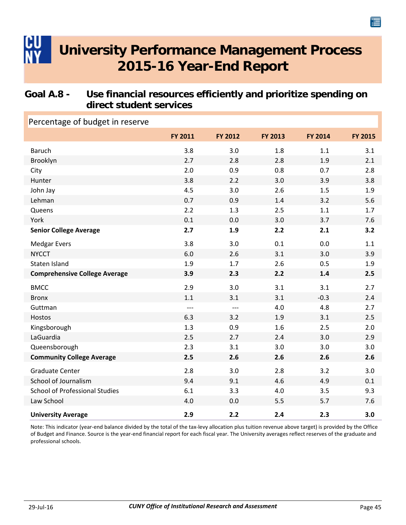### <span id="page-47-0"></span>**Goal A.8 - Use financial resources efficiently and prioritize spending on direct student services**

| Percentage of budget in reserve       |         |         |         |                |         |
|---------------------------------------|---------|---------|---------|----------------|---------|
|                                       | FY 2011 | FY 2012 | FY 2013 | <b>FY 2014</b> | FY 2015 |
| <b>Baruch</b>                         | 3.8     | 3.0     | 1.8     | 1.1            | 3.1     |
| Brooklyn                              | 2.7     | 2.8     | 2.8     | 1.9            | 2.1     |
| City                                  | 2.0     | 0.9     | 0.8     | 0.7            | 2.8     |
| Hunter                                | 3.8     | 2.2     | 3.0     | 3.9            | 3.8     |
| John Jay                              | 4.5     | 3.0     | 2.6     | 1.5            | 1.9     |
| Lehman                                | 0.7     | 0.9     | 1.4     | 3.2            | 5.6     |
| Queens                                | 2.2     | 1.3     | 2.5     | 1.1            | 1.7     |
| York                                  | 0.1     | 0.0     | 3.0     | 3.7            | 7.6     |
| <b>Senior College Average</b>         | 2.7     | 1.9     | 2.2     | 2.1            | 3.2     |
| <b>Medgar Evers</b>                   | 3.8     | 3.0     | 0.1     | 0.0            | 1.1     |
| <b>NYCCT</b>                          | 6.0     | 2.6     | 3.1     | 3.0            | 3.9     |
| Staten Island                         | 1.9     | 1.7     | 2.6     | 0.5            | 1.9     |
| <b>Comprehensive College Average</b>  | 3.9     | 2.3     | 2.2     | 1.4            | 2.5     |
| <b>BMCC</b>                           | 2.9     | 3.0     | 3.1     | 3.1            | 2.7     |
| <b>Bronx</b>                          | 1.1     | 3.1     | 3.1     | $-0.3$         | 2.4     |
| Guttman                               | $---$   | $---$   | 4.0     | 4.8            | 2.7     |
| Hostos                                | 6.3     | 3.2     | 1.9     | 3.1            | 2.5     |
| Kingsborough                          | 1.3     | 0.9     | 1.6     | 2.5            | 2.0     |
| LaGuardia                             | 2.5     | 2.7     | 2.4     | 3.0            | 2.9     |
| Queensborough                         | 2.3     | 3.1     | 3.0     | 3.0            | 3.0     |
| <b>Community College Average</b>      | 2.5     | 2.6     | 2.6     | 2.6            | 2.6     |
| <b>Graduate Center</b>                | 2.8     | 3.0     | 2.8     | 3.2            | 3.0     |
| School of Journalism                  | 9.4     | 9.1     | 4.6     | 4.9            | 0.1     |
| <b>School of Professional Studies</b> | 6.1     | 3.3     | 4.0     | 3.5            | 9.3     |
| Law School                            | 4.0     | 0.0     | 5.5     | 5.7            | 7.6     |
| <b>University Average</b>             | 2.9     | 2.2     | 2.4     | 2.3            | 3.0     |

Note: This indicator (year-end balance divided by the total of the tax-levy allocation plus tuition revenue above target) is provided by the Office of Budget and Finance. Source is the year‐end financial report for each fiscal year. The University averages reflect reserves of the graduate and professional schools.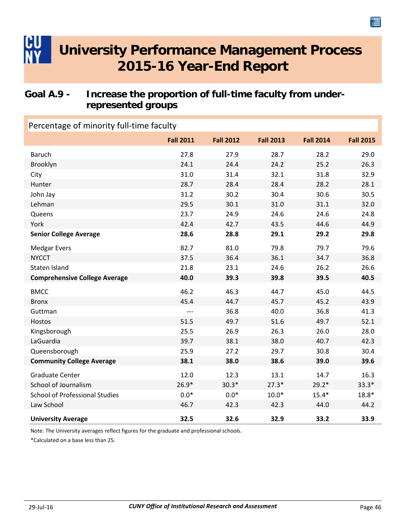### <span id="page-48-0"></span>**Goal A.9 - Increase the proportion of full-time faculty from underrepresented groups**

| Percentage of minority full-time faculty |                  |                  |                  |                  |                  |  |
|------------------------------------------|------------------|------------------|------------------|------------------|------------------|--|
|                                          | <b>Fall 2011</b> | <b>Fall 2012</b> | <b>Fall 2013</b> | <b>Fall 2014</b> | <b>Fall 2015</b> |  |
| <b>Baruch</b>                            | 27.8             | 27.9             | 28.7             | 28.2             | 29.0             |  |
| Brooklyn                                 | 24.1             | 24.4             | 24.2             | 25.2             | 26.3             |  |
| City                                     | 31.0             | 31.4             | 32.1             | 31.8             | 32.9             |  |
| Hunter                                   | 28.7             | 28.4             | 28.4             | 28.2             | 28.1             |  |
| John Jay                                 | 31.2             | 30.2             | 30.4             | 30.6             | 30.5             |  |
| Lehman                                   | 29.5             | 30.1             | 31.0             | 31.1             | 32.0             |  |
| Queens                                   | 23.7             | 24.9             | 24.6             | 24.6             | 24.8             |  |
| York                                     | 42.4             | 42.7             | 43.5             | 44.6             | 44.9             |  |
| <b>Senior College Average</b>            | 28.6             | 28.8             | 29.1             | 29.2             | 29.8             |  |
| <b>Medgar Evers</b>                      | 82.7             | 81.0             | 79.8             | 79.7             | 79.6             |  |
| <b>NYCCT</b>                             | 37.5             | 36.4             | 36.1             | 34.7             | 36.8             |  |
| Staten Island                            | 21.8             | 23.1             | 24.6             | 26.2             | 26.6             |  |
| <b>Comprehensive College Average</b>     | 40.0             | 39.3             | 39.8             | 39.5             | 40.5             |  |
| <b>BMCC</b>                              | 46.2             | 46.3             | 44.7             | 45.0             | 44.5             |  |
| <b>Bronx</b>                             | 45.4             | 44.7             | 45.7             | 45.2             | 43.9             |  |
| Guttman                                  | $---$            | 36.8             | 40.0             | 36.8             | 41.3             |  |
| Hostos                                   | 51.5             | 49.7             | 51.6             | 49.7             | 52.1             |  |
| Kingsborough                             | 25.5             | 26.9             | 26.3             | 26.0             | 28.0             |  |
| LaGuardia                                | 39.7             | 38.1             | 38.0             | 40.7             | 42.3             |  |
| Queensborough                            | 25.9             | 27.2             | 29.7             | 30.8             | 30.4             |  |
| <b>Community College Average</b>         | 38.1             | 38.0             | 38.6             | 39.0             | 39.6             |  |
| <b>Graduate Center</b>                   | 12.0             | 12.3             | 13.1             | 14.7             | 16.3             |  |
| School of Journalism                     | $26.9*$          | $30.3*$          | $27.3*$          | $29.2*$          | $33.3*$          |  |
| <b>School of Professional Studies</b>    | $0.0*$           | $0.0*$           | $10.0*$          | $15.4*$          | $18.8*$          |  |
| Law School                               | 46.7             | 42.3             | 42.3             | 44.0             | 44.2             |  |
| <b>University Average</b>                | 32.5             | 32.6             | 32.9             | 33.2             | 33.9             |  |

Note: The University averages reflect figures for the graduate and professional schools.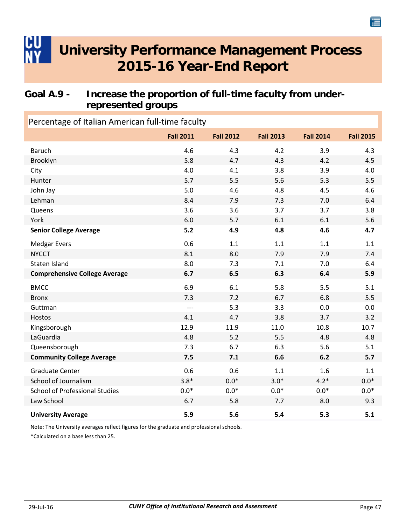### <span id="page-49-0"></span>**Goal A.9 - Increase the proportion of full-time faculty from underrepresented groups**

| Percentage of Italian American full-time faculty |                  |                  |                  |                  |                  |  |  |
|--------------------------------------------------|------------------|------------------|------------------|------------------|------------------|--|--|
|                                                  | <b>Fall 2011</b> | <b>Fall 2012</b> | <b>Fall 2013</b> | <b>Fall 2014</b> | <b>Fall 2015</b> |  |  |
| <b>Baruch</b>                                    | 4.6              | 4.3              | 4.2              | 3.9              | 4.3              |  |  |
| Brooklyn                                         | 5.8              | 4.7              | 4.3              | 4.2              | 4.5              |  |  |
| City                                             | 4.0              | 4.1              | 3.8              | 3.9              | 4.0              |  |  |
| Hunter                                           | 5.7              | 5.5              | 5.6              | 5.3              | 5.5              |  |  |
| John Jay                                         | 5.0              | 4.6              | 4.8              | 4.5              | 4.6              |  |  |
| Lehman                                           | 8.4              | 7.9              | 7.3              | 7.0              | 6.4              |  |  |
| Queens                                           | 3.6              | 3.6              | 3.7              | 3.7              | 3.8              |  |  |
| York                                             | 6.0              | 5.7              | 6.1              | 6.1              | 5.6              |  |  |
| <b>Senior College Average</b>                    | 5.2              | 4.9              | 4.8              | 4.6              | 4.7              |  |  |
| <b>Medgar Evers</b>                              | 0.6              | 1.1              | 1.1              | 1.1              | 1.1              |  |  |
| <b>NYCCT</b>                                     | 8.1              | 8.0              | 7.9              | 7.9              | 7.4              |  |  |
| Staten Island                                    | 8.0              | 7.3              | 7.1              | 7.0              | 6.4              |  |  |
| <b>Comprehensive College Average</b>             | 6.7              | 6.5              | 6.3              | 6.4              | 5.9              |  |  |
| <b>BMCC</b>                                      | 6.9              | 6.1              | 5.8              | 5.5              | 5.1              |  |  |
| <b>Bronx</b>                                     | 7.3              | 7.2              | 6.7              | 6.8              | 5.5              |  |  |
| Guttman                                          | $---$            | 5.3              | 3.3              | 0.0              | 0.0              |  |  |
| Hostos                                           | 4.1              | 4.7              | 3.8              | 3.7              | 3.2              |  |  |
| Kingsborough                                     | 12.9             | 11.9             | 11.0             | 10.8             | 10.7             |  |  |
| LaGuardia                                        | 4.8              | 5.2              | 5.5              | 4.8              | 4.8              |  |  |
| Queensborough                                    | 7.3              | 6.7              | 6.3              | 5.6              | 5.1              |  |  |
| <b>Community College Average</b>                 | 7.5              | 7.1              | 6.6              | 6.2              | 5.7              |  |  |
| <b>Graduate Center</b>                           | 0.6              | 0.6              | 1.1              | 1.6              | 1.1              |  |  |
| School of Journalism                             | $3.8*$           | $0.0*$           | $3.0*$           | $4.2*$           | $0.0*$           |  |  |
| <b>School of Professional Studies</b>            | $0.0*$           | $0.0*$           | $0.0*$           | $0.0*$           | $0.0^\ast$       |  |  |
| Law School                                       | 6.7              | 5.8              | 7.7              | 8.0              | 9.3              |  |  |
| <b>University Average</b>                        | 5.9              | 5.6              | 5.4              | 5.3              | 5.1              |  |  |

Note: The University averages reflect figures for the graduate and professional schools.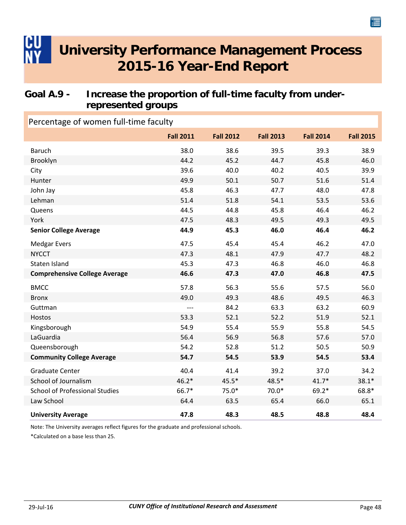### <span id="page-50-0"></span>**Goal A.9 - Increase the proportion of full-time faculty from underrepresented groups**

### **Fall 2011 Fall Fall 2012 Fall 2013 Fall 2014 2015** Percentage of women full‐time faculty Baruch 38.0 38.6 39.5 39.3 38.9 Brooklyn 44.2 45.2 44.7 45.8 46.0 City 10.0 40.2 40.5 39.9 Hunter 51.6 51.4 John Jay 45.8 46.3 47.7 48.0 47.8 Lehman 51.4 51.8 54.1 53.5 53.6 Queens 2008 2012 2020 44.5 44.8 44.8 45.8 46.4 46.2 York 47.5 48.3 49.5 49.3 49.5 49.5 **Senior College Average 44.9 45.3 46.0 46.4 46.2** Medgar Evers **47.5** 45.4 45.4 46.2 47.0 NYCCT 1988.2 47.3 48.1 47.9 47.7 48.2 Staten Island 15.3 47.3 46.8 46.0 46.8 **Comprehensive College Average 46.6 47.3 47.0 46.8 47.5** BMCC 57.8 56.3 55.6 57.5 56.0 Bronx 19.0 49.0 49.3 48.6 49.5 46.3 Guttman ‐‐‐ 84.2 63.3 63.2 60.9 Hostos 53.3 52.1 52.2 51.9 52.1 Kingsborough 54.9 55.4 55.9 55.8 54.5 LaGuardia 56.4 56.9 56.8 57.6 57.0 Queensborough 54.2 52.8 51.2 50.5 50.9 **Community College Average 54.7 54.5 53.9 54.5 53.4** Graduate Center 1992 10:00 10:00 10:00 40.4 40.4 41.4 39.2 37.0 34.2 School of Journalism  $46.2^*$   $45.5^*$   $48.5^*$   $41.7^*$   $38.1^*$ School of Professional Studies  $66.7^*$   $75.0^*$   $70.0^*$   $69.2^*$   $68.8^*$ Law School 65.1 64.4 63.5 65.4 66.0 65.1 **University Average 47.8 48.3 48.5 48.8 48.4**

Note: The University averages reflect figures for the graduate and professional schools.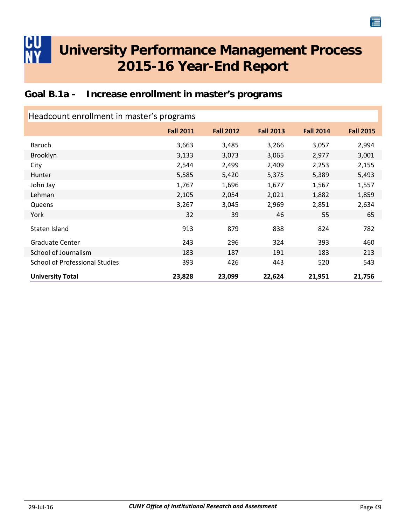### **Goal B.1a - Increase enrollment in master's programs**

| Headcount enrollment in master's programs |                  |                  |                  |                  |                  |  |
|-------------------------------------------|------------------|------------------|------------------|------------------|------------------|--|
|                                           | <b>Fall 2011</b> | <b>Fall 2012</b> | <b>Fall 2013</b> | <b>Fall 2014</b> | <b>Fall 2015</b> |  |
| Baruch                                    | 3,663            | 3,485            | 3,266            | 3,057            | 2,994            |  |
| Brooklyn                                  | 3,133            | 3,073            | 3,065            | 2,977            | 3,001            |  |
| City                                      | 2,544            | 2,499            | 2,409            | 2,253            | 2,155            |  |
| <b>Hunter</b>                             | 5,585            | 5,420            | 5,375            | 5,389            | 5,493            |  |
| John Jay                                  | 1,767            | 1,696            | 1,677            | 1,567            | 1,557            |  |
| Lehman                                    | 2,105            | 2,054            | 2,021            | 1,882            | 1,859            |  |
| Queens                                    | 3,267            | 3,045            | 2,969            | 2,851            | 2,634            |  |
| York                                      | 32               | 39               | 46               | 55               | 65               |  |
| Staten Island                             | 913              | 879              | 838              | 824              | 782              |  |
| <b>Graduate Center</b>                    | 243              | 296              | 324              | 393              | 460              |  |
| School of Journalism                      | 183              | 187              | 191              | 183              | 213              |  |
| <b>School of Professional Studies</b>     | 393              | 426              | 443              | 520              | 543              |  |
| <b>University Total</b>                   | 23,828           | 23,099           | 22,624           | 21,951           | 21,756           |  |

<span id="page-51-0"></span>CU

僵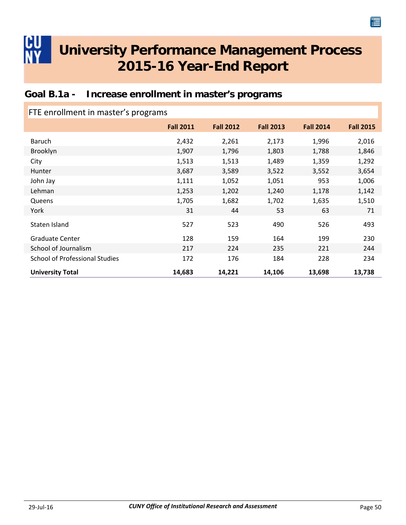### **Goal B.1a - Increase enrollment in master's programs**

| FTE enrollment in master's programs   |                  |                  |                  |                  |                  |  |
|---------------------------------------|------------------|------------------|------------------|------------------|------------------|--|
|                                       | <b>Fall 2011</b> | <b>Fall 2012</b> | <b>Fall 2013</b> | <b>Fall 2014</b> | <b>Fall 2015</b> |  |
| <b>Baruch</b>                         | 2,432            | 2,261            | 2,173            | 1,996            | 2,016            |  |
| Brooklyn                              | 1,907            | 1,796            | 1,803            | 1,788            | 1,846            |  |
| City                                  | 1,513            | 1,513            | 1,489            | 1,359            | 1,292            |  |
| Hunter                                | 3,687            | 3,589            | 3,522            | 3,552            | 3,654            |  |
| John Jay                              | 1,111            | 1,052            | 1,051            | 953              | 1,006            |  |
| Lehman                                | 1,253            | 1,202            | 1,240            | 1,178            | 1,142            |  |
| Queens                                | 1,705            | 1,682            | 1,702            | 1,635            | 1,510            |  |
| York                                  | 31               | 44               | 53               | 63               | 71               |  |
| Staten Island                         | 527              | 523              | 490              | 526              | 493              |  |
| <b>Graduate Center</b>                | 128              | 159              | 164              | 199              | 230              |  |
| School of Journalism                  | 217              | 224              | 235              | 221              | 244              |  |
| <b>School of Professional Studies</b> | 172              | 176              | 184              | 228              | 234              |  |
| <b>University Total</b>               | 14,683           | 14,221           | 14,106           | 13,698           | 13,738           |  |

<span id="page-52-0"></span>CU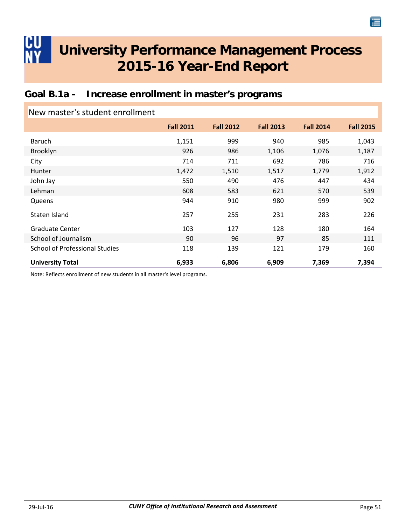### **Goal B.1a - Increase enrollment in master's programs**

| New master's student enrollment       |                  |                  |                  |                  |                  |
|---------------------------------------|------------------|------------------|------------------|------------------|------------------|
|                                       | <b>Fall 2011</b> | <b>Fall 2012</b> | <b>Fall 2013</b> | <b>Fall 2014</b> | <b>Fall 2015</b> |
| Baruch                                | 1,151            | 999              | 940              | 985              | 1,043            |
| Brooklyn                              | 926              | 986              | 1,106            | 1,076            | 1,187            |
| City                                  | 714              | 711              | 692              | 786              | 716              |
| Hunter                                | 1,472            | 1,510            | 1,517            | 1,779            | 1,912            |
| John Jay                              | 550              | 490              | 476              | 447              | 434              |
| Lehman                                | 608              | 583              | 621              | 570              | 539              |
| Queens                                | 944              | 910              | 980              | 999              | 902              |
| Staten Island                         | 257              | 255              | 231              | 283              | 226              |
| <b>Graduate Center</b>                | 103              | 127              | 128              | 180              | 164              |
| School of Journalism                  | 90               | 96               | 97               | 85               | 111              |
| <b>School of Professional Studies</b> | 118              | 139              | 121              | 179              | 160              |
| <b>University Total</b>               | 6,933            | 6,806            | 6,909            | 7,369            | 7,394            |

Note: Reflects enrollment of new students in all master's level programs.

<span id="page-53-0"></span>IHU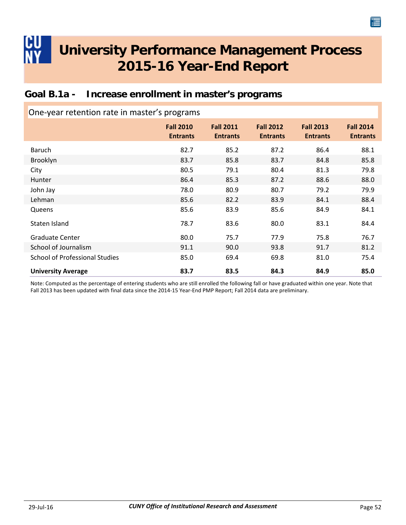<span id="page-54-0"></span>

| Goal B.1a - Increase enrollment in master's programs |  |  |  |
|------------------------------------------------------|--|--|--|
|------------------------------------------------------|--|--|--|

| One-year retention rate in master's programs |                                     |                                     |                                     |                                     |                                     |  |  |
|----------------------------------------------|-------------------------------------|-------------------------------------|-------------------------------------|-------------------------------------|-------------------------------------|--|--|
|                                              | <b>Fall 2010</b><br><b>Entrants</b> | <b>Fall 2011</b><br><b>Entrants</b> | <b>Fall 2012</b><br><b>Entrants</b> | <b>Fall 2013</b><br><b>Entrants</b> | <b>Fall 2014</b><br><b>Entrants</b> |  |  |
| Baruch                                       | 82.7                                | 85.2                                | 87.2                                | 86.4                                | 88.1                                |  |  |
| Brooklyn                                     | 83.7                                | 85.8                                | 83.7                                | 84.8                                | 85.8                                |  |  |
| City                                         | 80.5                                | 79.1                                | 80.4                                | 81.3                                | 79.8                                |  |  |
| Hunter                                       | 86.4                                | 85.3                                | 87.2                                | 88.6                                | 88.0                                |  |  |
| John Jay                                     | 78.0                                | 80.9                                | 80.7                                | 79.2                                | 79.9                                |  |  |
| Lehman                                       | 85.6                                | 82.2                                | 83.9                                | 84.1                                | 88.4                                |  |  |
| Queens                                       | 85.6                                | 83.9                                | 85.6                                | 84.9                                | 84.1                                |  |  |
| Staten Island                                | 78.7                                | 83.6                                | 80.0                                | 83.1                                | 84.4                                |  |  |
| <b>Graduate Center</b>                       | 80.0                                | 75.7                                | 77.9                                | 75.8                                | 76.7                                |  |  |
| School of Journalism                         | 91.1                                | 90.0                                | 93.8                                | 91.7                                | 81.2                                |  |  |
| <b>School of Professional Studies</b>        | 85.0                                | 69.4                                | 69.8                                | 81.0                                | 75.4                                |  |  |
| <b>University Average</b>                    | 83.7                                | 83.5                                | 84.3                                | 84.9                                | 85.0                                |  |  |

Note: Computed as the percentage of entering students who are still enrolled the following fall or have graduated within one year. Note that Fall 2013 has been updated with final data since the 2014‐15 Year‐End PMP Report; Fall 2014 data are preliminary.

僵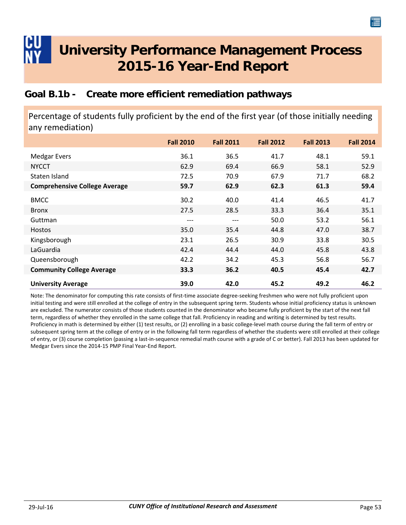### <span id="page-55-0"></span>**Goal B.1b - Create more efficient remediation pathways**

Percentage of students fully proficient by the end of the first year (of those initially needing any remediation)

|                                      | <b>Fall 2010</b> | <b>Fall 2011</b> | <b>Fall 2012</b> | <b>Fall 2013</b> | <b>Fall 2014</b> |
|--------------------------------------|------------------|------------------|------------------|------------------|------------------|
| <b>Medgar Evers</b>                  | 36.1             | 36.5             | 41.7             | 48.1             | 59.1             |
| <b>NYCCT</b>                         | 62.9             | 69.4             | 66.9             | 58.1             | 52.9             |
| Staten Island                        | 72.5             | 70.9             | 67.9             | 71.7             | 68.2             |
| <b>Comprehensive College Average</b> | 59.7             | 62.9             | 62.3             | 61.3             | 59.4             |
| <b>BMCC</b>                          | 30.2             | 40.0             | 41.4             | 46.5             | 41.7             |
| <b>Bronx</b>                         | 27.5             | 28.5             | 33.3             | 36.4             | 35.1             |
| Guttman                              | ---              | $---$            | 50.0             | 53.2             | 56.1             |
| <b>Hostos</b>                        | 35.0             | 35.4             | 44.8             | 47.0             | 38.7             |
| Kingsborough                         | 23.1             | 26.5             | 30.9             | 33.8             | 30.5             |
| LaGuardia                            | 42.4             | 44.4             | 44.0             | 45.8             | 43.8             |
| Queensborough                        | 42.2             | 34.2             | 45.3             | 56.8             | 56.7             |
| <b>Community College Average</b>     | 33.3             | 36.2             | 40.5             | 45.4             | 42.7             |
| <b>University Average</b>            | 39.0             | 42.0             | 45.2             | 49.2             | 46.2             |

Note: The denominator for computing this rate consists of first-time associate degree-seeking freshmen who were not fully proficient upon initial testing and were still enrolled at the college of entry in the subsequent spring term. Students whose initial proficiency status is unknown are excluded. The numerator consists of those students counted in the denominator who became fully proficient by the start of the next fall term, regardless of whether they enrolled in the same college that fall. Proficiency in reading and writing is determined by test results. Proficiency in math is determined by either (1) test results, or (2) enrolling in a basic college-level math course during the fall term of entry or subsequent spring term at the college of entry or in the following fall term regardless of whether the students were still enrolled at their college of entry, or (3) course completion (passing a last-in-sequence remedial math course with a grade of C or better). Fall 2013 has been updated for Medgar Evers since the 2014‐15 PMP Final Year‐End Report.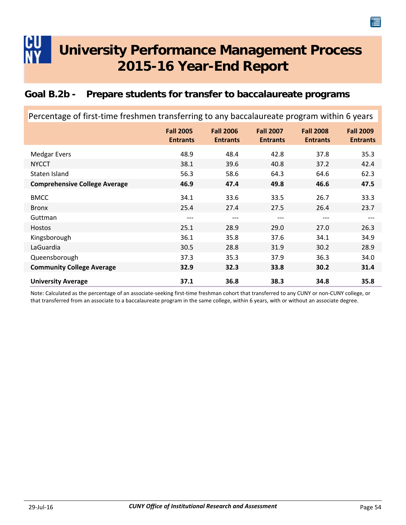### <span id="page-56-0"></span>**Goal B.2b - Prepare students for transfer to baccalaureate programs**

| Percentage of first-time freshmen transferring to any baccalaureate program within 6 years |                                     |                                     |                                     |                                     |                                     |  |
|--------------------------------------------------------------------------------------------|-------------------------------------|-------------------------------------|-------------------------------------|-------------------------------------|-------------------------------------|--|
|                                                                                            | <b>Fall 2005</b><br><b>Entrants</b> | <b>Fall 2006</b><br><b>Entrants</b> | <b>Fall 2007</b><br><b>Entrants</b> | <b>Fall 2008</b><br><b>Entrants</b> | <b>Fall 2009</b><br><b>Entrants</b> |  |
| <b>Medgar Evers</b>                                                                        | 48.9                                | 48.4                                | 42.8                                | 37.8                                | 35.3                                |  |
| <b>NYCCT</b>                                                                               | 38.1                                | 39.6                                | 40.8                                | 37.2                                | 42.4                                |  |
| Staten Island                                                                              | 56.3                                | 58.6                                | 64.3                                | 64.6                                | 62.3                                |  |
| <b>Comprehensive College Average</b>                                                       | 46.9                                | 47.4                                | 49.8                                | 46.6                                | 47.5                                |  |
| <b>BMCC</b>                                                                                | 34.1                                | 33.6                                | 33.5                                | 26.7                                | 33.3                                |  |
| <b>Bronx</b>                                                                               | 25.4                                | 27.4                                | 27.5                                | 26.4                                | 23.7                                |  |
| Guttman                                                                                    | ---                                 | $---$                               | $---$                               | ---                                 | $---$                               |  |
| Hostos                                                                                     | 25.1                                | 28.9                                | 29.0                                | 27.0                                | 26.3                                |  |
| Kingsborough                                                                               | 36.1                                | 35.8                                | 37.6                                | 34.1                                | 34.9                                |  |
| LaGuardia                                                                                  | 30.5                                | 28.8                                | 31.9                                | 30.2                                | 28.9                                |  |
| Queensborough                                                                              | 37.3                                | 35.3                                | 37.9                                | 36.3                                | 34.0                                |  |
| <b>Community College Average</b>                                                           | 32.9                                | 32.3                                | 33.8                                | 30.2                                | 31.4                                |  |
| <b>University Average</b>                                                                  | 37.1                                | 36.8                                | 38.3                                | 34.8                                | 35.8                                |  |

Note: Calculated as the percentage of an associate-seeking first-time freshman cohort that transferred to any CUNY or non-CUNY college, or that transferred from an associate to a baccalaureate program in the same college, within 6 years, with or without an associate degree.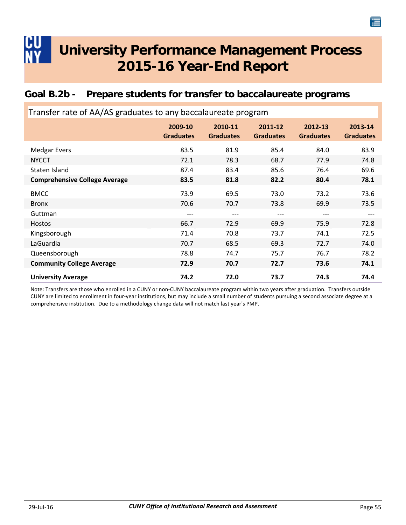### <span id="page-57-0"></span>**Goal B.2b - Prepare students for transfer to baccalaureate programs**

| Transfer rate of AA/AS graduates to any baccalaureate program |                             |                             |                             |                             |                             |  |  |
|---------------------------------------------------------------|-----------------------------|-----------------------------|-----------------------------|-----------------------------|-----------------------------|--|--|
|                                                               | 2009-10<br><b>Graduates</b> | 2010-11<br><b>Graduates</b> | 2011-12<br><b>Graduates</b> | 2012-13<br><b>Graduates</b> | 2013-14<br><b>Graduates</b> |  |  |
| <b>Medgar Evers</b>                                           | 83.5                        | 81.9                        | 85.4                        | 84.0                        | 83.9                        |  |  |
| <b>NYCCT</b>                                                  | 72.1                        | 78.3                        | 68.7                        | 77.9                        | 74.8                        |  |  |
| Staten Island                                                 | 87.4                        | 83.4                        | 85.6                        | 76.4                        | 69.6                        |  |  |
| <b>Comprehensive College Average</b>                          | 83.5                        | 81.8                        | 82.2                        | 80.4                        | 78.1                        |  |  |
| <b>BMCC</b>                                                   | 73.9                        | 69.5                        | 73.0                        | 73.2                        | 73.6                        |  |  |
| <b>Bronx</b>                                                  | 70.6                        | 70.7                        | 73.8                        | 69.9                        | 73.5                        |  |  |
| Guttman                                                       | ---                         | $---$                       | $---$                       | ---                         | ---                         |  |  |
| <b>Hostos</b>                                                 | 66.7                        | 72.9                        | 69.9                        | 75.9                        | 72.8                        |  |  |
| Kingsborough                                                  | 71.4                        | 70.8                        | 73.7                        | 74.1                        | 72.5                        |  |  |
| LaGuardia                                                     | 70.7                        | 68.5                        | 69.3                        | 72.7                        | 74.0                        |  |  |
| Queensborough                                                 | 78.8                        | 74.7                        | 75.7                        | 76.7                        | 78.2                        |  |  |
| <b>Community College Average</b>                              | 72.9                        | 70.7                        | 72.7                        | 73.6                        | 74.1                        |  |  |
| <b>University Average</b>                                     | 74.2                        | 72.0                        | 73.7                        | 74.3                        | 74.4                        |  |  |

Note: Transfers are those who enrolled in a CUNY or non‐CUNY baccalaureate program within two years after graduation. Transfers outside CUNY are limited to enrollment in four‐year institutions, but may include a small number of students pursuing a second associate degree at a comprehensive institution. Due to a methodology change data will not match last year's PMP.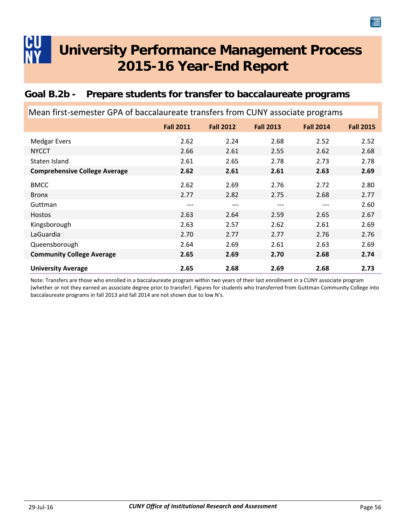### <span id="page-58-0"></span>**Goal B.2b - Prepare students for transfer to baccalaureate programs**

| Mean first-semester GPA of baccalaureate transfers from CUNY associate programs |                  |                  |                  |                  |                  |  |  |
|---------------------------------------------------------------------------------|------------------|------------------|------------------|------------------|------------------|--|--|
|                                                                                 | <b>Fall 2011</b> | <b>Fall 2012</b> | <b>Fall 2013</b> | <b>Fall 2014</b> | <b>Fall 2015</b> |  |  |
| <b>Medgar Evers</b>                                                             | 2.62             | 2.24             | 2.68             | 2.52             | 2.52             |  |  |
| <b>NYCCT</b>                                                                    | 2.66             | 2.61             | 2.55             | 2.62             | 2.68             |  |  |
| Staten Island                                                                   | 2.61             | 2.65             | 2.78             | 2.73             | 2.78             |  |  |
| <b>Comprehensive College Average</b>                                            | 2.62             | 2.61             | 2.61             | 2.63             | 2.69             |  |  |
| <b>BMCC</b>                                                                     | 2.62             | 2.69             | 2.76             | 2.72             | 2.80             |  |  |
| <b>Bronx</b>                                                                    | 2.77             | 2.82             | 2.75             | 2.68             | 2.77             |  |  |
| Guttman                                                                         | ---              | ---              | ---              | ---              | 2.60             |  |  |
| <b>Hostos</b>                                                                   | 2.63             | 2.64             | 2.59             | 2.65             | 2.67             |  |  |
| Kingsborough                                                                    | 2.63             | 2.57             | 2.62             | 2.61             | 2.69             |  |  |
| LaGuardia                                                                       | 2.70             | 2.77             | 2.77             | 2.76             | 2.76             |  |  |
| Queensborough                                                                   | 2.64             | 2.69             | 2.61             | 2.63             | 2.69             |  |  |
| <b>Community College Average</b>                                                | 2.65             | 2.69             | 2.70             | 2.68             | 2.74             |  |  |
| <b>University Average</b>                                                       | 2.65             | 2.68             | 2.69             | 2.68             | 2.73             |  |  |

Note: Transfers are those who enrolled in a baccalaureate program within two years of their last enrollment in a CUNY associate program (whether or not they earned an associate degree prior to transfer). Figures for students who transferred from Guttman Community College into baccalaureate programs in fall 2013 and fall 2014 are not shown due to low N's.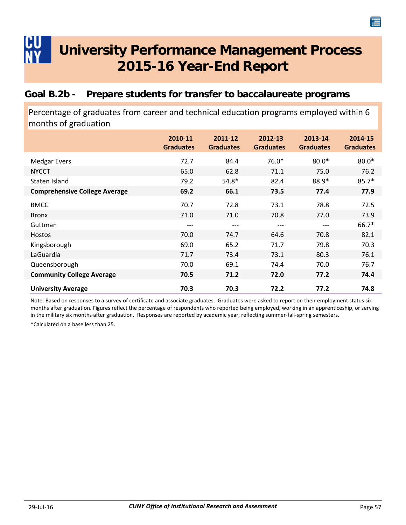### <span id="page-59-0"></span>**Goal B.2b - Prepare students for transfer to baccalaureate programs**

Percentage of graduates from career and technical education programs employed within 6 months of graduation

|                                      | 2010-11<br><b>Graduates</b> | 2011-12<br><b>Graduates</b> | 2012-13<br><b>Graduates</b> | 2013-14<br><b>Graduates</b> | 2014-15<br><b>Graduates</b> |
|--------------------------------------|-----------------------------|-----------------------------|-----------------------------|-----------------------------|-----------------------------|
| <b>Medgar Evers</b>                  | 72.7                        | 84.4                        | 76.0*                       | $80.0*$                     | $80.0*$                     |
| <b>NYCCT</b>                         | 65.0                        | 62.8                        | 71.1                        | 75.0                        | 76.2                        |
| Staten Island                        | 79.2                        | $54.8*$                     | 82.4                        | 88.9*                       | $85.7*$                     |
| <b>Comprehensive College Average</b> | 69.2                        | 66.1                        | 73.5                        | 77.4                        | 77.9                        |
| <b>BMCC</b>                          | 70.7                        | 72.8                        | 73.1                        | 78.8                        | 72.5                        |
| <b>Bronx</b>                         | 71.0                        | 71.0                        | 70.8                        | 77.0                        | 73.9                        |
| Guttman                              | ---                         | ---                         | ---                         | ---                         | $66.7*$                     |
| <b>Hostos</b>                        | 70.0                        | 74.7                        | 64.6                        | 70.8                        | 82.1                        |
| Kingsborough                         | 69.0                        | 65.2                        | 71.7                        | 79.8                        | 70.3                        |
| LaGuardia                            | 71.7                        | 73.4                        | 73.1                        | 80.3                        | 76.1                        |
| Queensborough                        | 70.0                        | 69.1                        | 74.4                        | 70.0                        | 76.7                        |
| <b>Community College Average</b>     | 70.5                        | 71.2                        | 72.0                        | 77.2                        | 74.4                        |
| <b>University Average</b>            | 70.3                        | 70.3                        | 72.2                        | 77.2                        | 74.8                        |

Note: Based on responses to a survey of certificate and associate graduates. Graduates were asked to report on their employment status six months after graduation. Figures reflect the percentage of respondents who reported being employed, working in an apprenticeship, or serving in the military six months after graduation. Responses are reported by academic year, reflecting summer-fall-spring semesters.